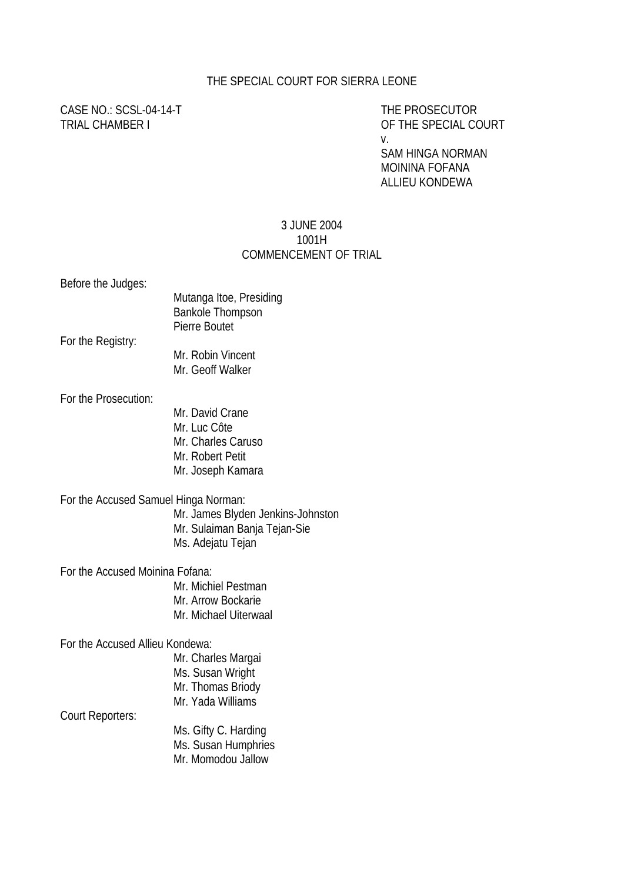### THE SPECIAL COURT FOR SIERRA LEONE

CASE NO.: SCSL-04-14-T THE PROSECUTOR

TRIAL CHAMBER I OF THE SPECIAL COURT v.

> SAM HINGA NORMAN MOININA FOFANA ALLIEU KONDEWA

#### 3 JUNE 2004 1001H COMMENCEMENT OF TRIAL

Before the Judges:

|                   | Mutanga Itoe, Presiding |
|-------------------|-------------------------|
|                   | <b>Bankole Thompson</b> |
|                   | Pierre Boutet           |
| For the Registry: |                         |
|                   | Mr. Robin Vincent       |
|                   |                         |

Mr. Geoff Walker

For the Prosecution:

Mr. David Crane Mr. Luc Côte Mr. Charles Caruso Mr. Robert Petit Mr. Joseph Kamara

For the Accused Samuel Hinga Norman:

Mr. James Blyden Jenkins-Johnston Mr. Sulaiman Banja Tejan-Sie Ms. Adejatu Tejan

For the Accused Moinina Fofana:

Mr. Michiel Pestman Mr. Arrow Bockarie Mr. Michael Uiterwaal

For the Accused Allieu Kondewa:

Mr. Charles Margai Ms. Susan Wright Mr. Thomas Briody Mr. Yada Williams

Court Reporters:

Ms. Gifty C. Harding Ms. Susan Humphries Mr. Momodou Jallow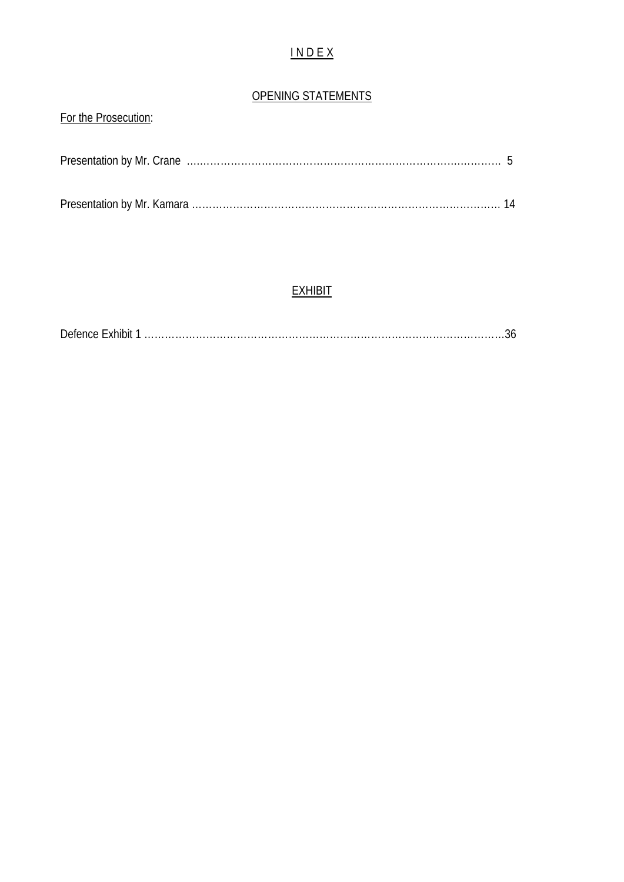# I N D E X

## OPENING STATEMENTS

| For the Prosecution: |  |
|----------------------|--|
|                      |  |
|                      |  |

## **EXHIBIT**

|--|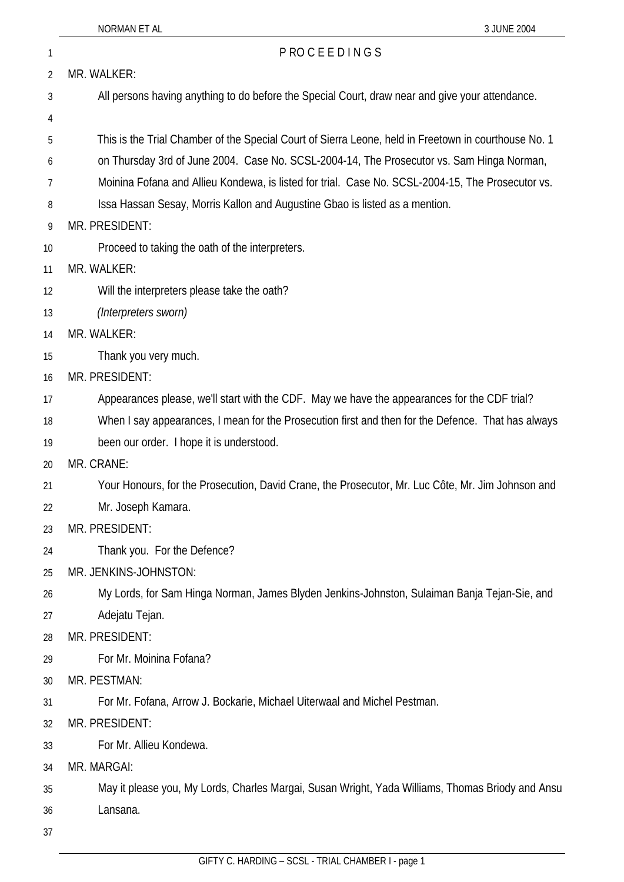| 1  | PROCEEDINGS                                                                                          |
|----|------------------------------------------------------------------------------------------------------|
| 2  | MR. WALKER:                                                                                          |
| 3  | All persons having anything to do before the Special Court, draw near and give your attendance.      |
| 4  |                                                                                                      |
| 5  | This is the Trial Chamber of the Special Court of Sierra Leone, held in Freetown in courthouse No. 1 |
| 6  | on Thursday 3rd of June 2004. Case No. SCSL-2004-14, The Prosecutor vs. Sam Hinga Norman,            |
| 7  | Moinina Fofana and Allieu Kondewa, is listed for trial. Case No. SCSL-2004-15, The Prosecutor vs.    |
| 8  | Issa Hassan Sesay, Morris Kallon and Augustine Gbao is listed as a mention.                          |
| 9  | MR. PRESIDENT:                                                                                       |
| 10 | Proceed to taking the oath of the interpreters.                                                      |
| 11 | MR. WALKER:                                                                                          |
| 12 | Will the interpreters please take the oath?                                                          |
| 13 | (Interpreters sworn)                                                                                 |
| 14 | MR. WALKER:                                                                                          |
| 15 | Thank you very much.                                                                                 |
| 16 | MR. PRESIDENT:                                                                                       |
| 17 | Appearances please, we'll start with the CDF. May we have the appearances for the CDF trial?         |
| 18 | When I say appearances, I mean for the Prosecution first and then for the Defence. That has always   |
| 19 | been our order. I hope it is understood.                                                             |
| 20 | MR. CRANE:                                                                                           |
| 21 | Your Honours, for the Prosecution, David Crane, the Prosecutor, Mr. Luc Côte, Mr. Jim Johnson and    |
| 22 | Mr. Joseph Kamara.                                                                                   |
| 23 | MR. PRESIDENT:                                                                                       |
| 24 | Thank you. For the Defence?                                                                          |
| 25 | MR. JENKINS-JOHNSTON:                                                                                |
| 26 | My Lords, for Sam Hinga Norman, James Blyden Jenkins-Johnston, Sulaiman Banja Tejan-Sie, and         |
| 27 | Adejatu Tejan.                                                                                       |
| 28 | MR. PRESIDENT:                                                                                       |
| 29 | For Mr. Moinina Fofana?                                                                              |
| 30 | MR. PESTMAN:                                                                                         |
| 31 | For Mr. Fofana, Arrow J. Bockarie, Michael Uiterwaal and Michel Pestman.                             |
| 32 | MR. PRESIDENT:                                                                                       |
| 33 | For Mr. Allieu Kondewa.                                                                              |
| 34 | MR. MARGAI:                                                                                          |
| 35 | May it please you, My Lords, Charles Margai, Susan Wright, Yada Williams, Thomas Briody and Ansu     |
| 36 | Lansana.                                                                                             |
| 37 |                                                                                                      |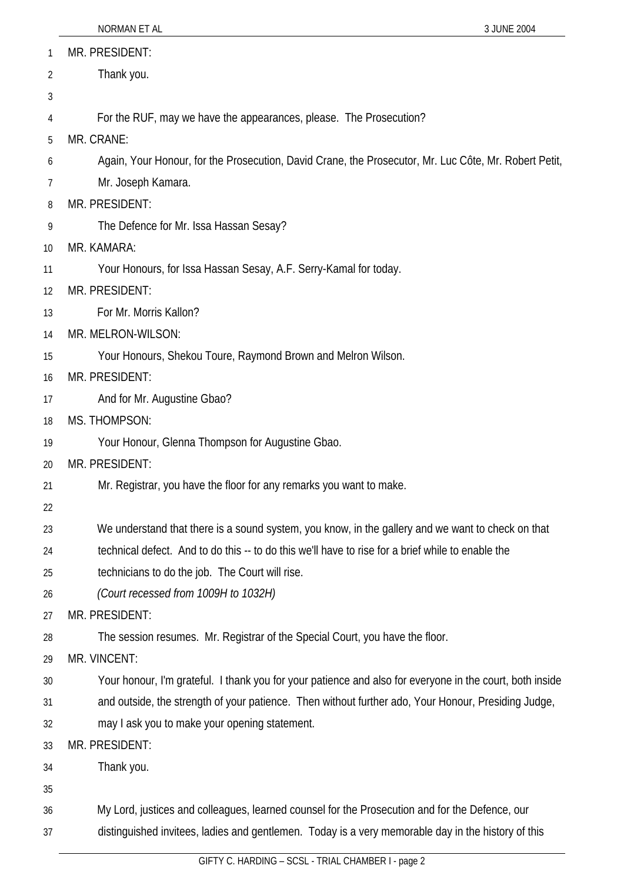|    | <b>NORMAN ET AL</b><br>3 JUNE 2004                                                                       |
|----|----------------------------------------------------------------------------------------------------------|
| 1  | MR. PRESIDENT:                                                                                           |
| 2  | Thank you.                                                                                               |
| 3  |                                                                                                          |
| 4  | For the RUF, may we have the appearances, please. The Prosecution?                                       |
| 5  | MR. CRANE:                                                                                               |
| 6  | Again, Your Honour, for the Prosecution, David Crane, the Prosecutor, Mr. Luc Côte, Mr. Robert Petit,    |
| 7  | Mr. Joseph Kamara.                                                                                       |
| 8  | MR. PRESIDENT:                                                                                           |
| 9  | The Defence for Mr. Issa Hassan Sesay?                                                                   |
| 10 | MR. KAMARA:                                                                                              |
| 11 | Your Honours, for Issa Hassan Sesay, A.F. Serry-Kamal for today.                                         |
| 12 | MR. PRESIDENT:                                                                                           |
| 13 | For Mr. Morris Kallon?                                                                                   |
| 14 | MR. MELRON-WILSON:                                                                                       |
| 15 | Your Honours, Shekou Toure, Raymond Brown and Melron Wilson.                                             |
| 16 | MR. PRESIDENT:                                                                                           |
| 17 | And for Mr. Augustine Gbao?                                                                              |
| 18 | MS. THOMPSON:                                                                                            |
| 19 | Your Honour, Glenna Thompson for Augustine Gbao.                                                         |
| 20 | MR. PRESIDENT:                                                                                           |
| 21 | Mr. Registrar, you have the floor for any remarks you want to make.                                      |
| 22 |                                                                                                          |
| 23 | We understand that there is a sound system, you know, in the gallery and we want to check on that        |
| 24 | technical defect. And to do this -- to do this we'll have to rise for a brief while to enable the        |
| 25 | technicians to do the job. The Court will rise.                                                          |
| 26 | (Court recessed from 1009H to 1032H)                                                                     |
| 27 | MR. PRESIDENT:                                                                                           |
| 28 | The session resumes. Mr. Registrar of the Special Court, you have the floor.                             |
| 29 | MR. VINCENT:                                                                                             |
| 30 | Your honour, I'm grateful. I thank you for your patience and also for everyone in the court, both inside |
| 31 | and outside, the strength of your patience. Then without further ado, Your Honour, Presiding Judge,      |
| 32 | may I ask you to make your opening statement.                                                            |
| 33 | MR. PRESIDENT:                                                                                           |
| 34 | Thank you.                                                                                               |
| 35 |                                                                                                          |
| 36 | My Lord, justices and colleagues, learned counsel for the Prosecution and for the Defence, our           |
| 37 | distinguished invitees, ladies and gentlemen. Today is a very memorable day in the history of this       |
|    |                                                                                                          |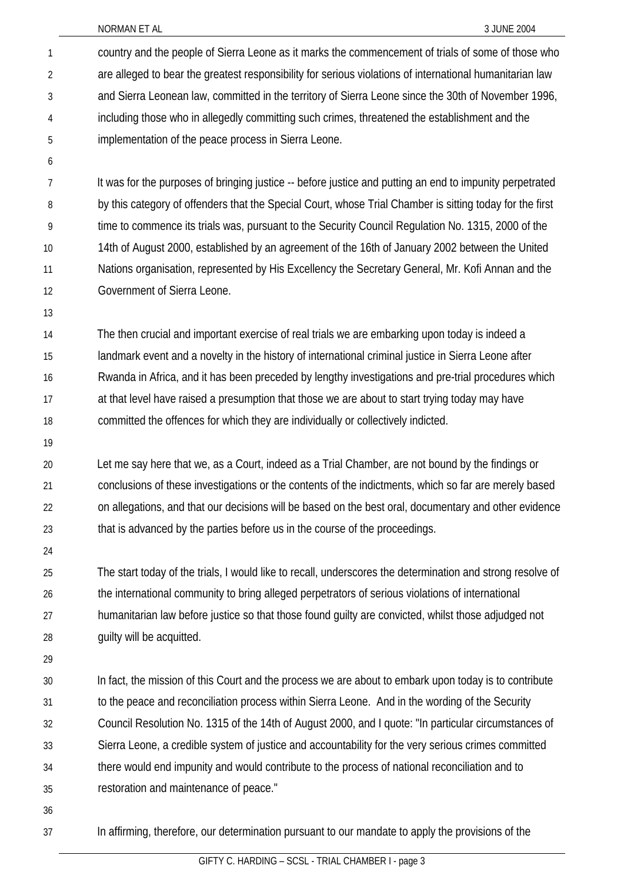country and the people of Sierra Leone as it marks the commencement of trials of some of those who are alleged to bear the greatest responsibility for serious violations of international humanitarian law and Sierra Leonean law, committed in the territory of Sierra Leone since the 30th of November 1996, including those who in allegedly committing such crimes, threatened the establishment and the implementation of the peace process in Sierra Leone. 1 2 3 4 5

6

7 8 9 10 11 12 It was for the purposes of bringing justice -- before justice and putting an end to impunity perpetrated by this category of offenders that the Special Court, whose Trial Chamber is sitting today for the first time to commence its trials was, pursuant to the Security Council Regulation No. 1315, 2000 of the 14th of August 2000, established by an agreement of the 16th of January 2002 between the United Nations organisation, represented by His Excellency the Secretary General, Mr. Kofi Annan and the Government of Sierra Leone.

13

14 15 16 17 18 The then crucial and important exercise of real trials we are embarking upon today is indeed a landmark event and a novelty in the history of international criminal justice in Sierra Leone after Rwanda in Africa, and it has been preceded by lengthy investigations and pre-trial procedures which at that level have raised a presumption that those we are about to start trying today may have committed the offences for which they are individually or collectively indicted.

19

20 21 22 23 Let me say here that we, as a Court, indeed as a Trial Chamber, are not bound by the findings or conclusions of these investigations or the contents of the indictments, which so far are merely based on allegations, and that our decisions will be based on the best oral, documentary and other evidence that is advanced by the parties before us in the course of the proceedings.

24

25 26 27 28 The start today of the trials, I would like to recall, underscores the determination and strong resolve of the international community to bring alleged perpetrators of serious violations of international humanitarian law before justice so that those found guilty are convicted, whilst those adjudged not guilty will be acquitted.

29

30 31 32 33 34 35 In fact, the mission of this Court and the process we are about to embark upon today is to contribute to the peace and reconciliation process within Sierra Leone. And in the wording of the Security Council Resolution No. 1315 of the 14th of August 2000, and I quote: "In particular circumstances of Sierra Leone, a credible system of justice and accountability for the very serious crimes committed there would end impunity and would contribute to the process of national reconciliation and to restoration and maintenance of peace."

36

37 In affirming, therefore, our determination pursuant to our mandate to apply the provisions of the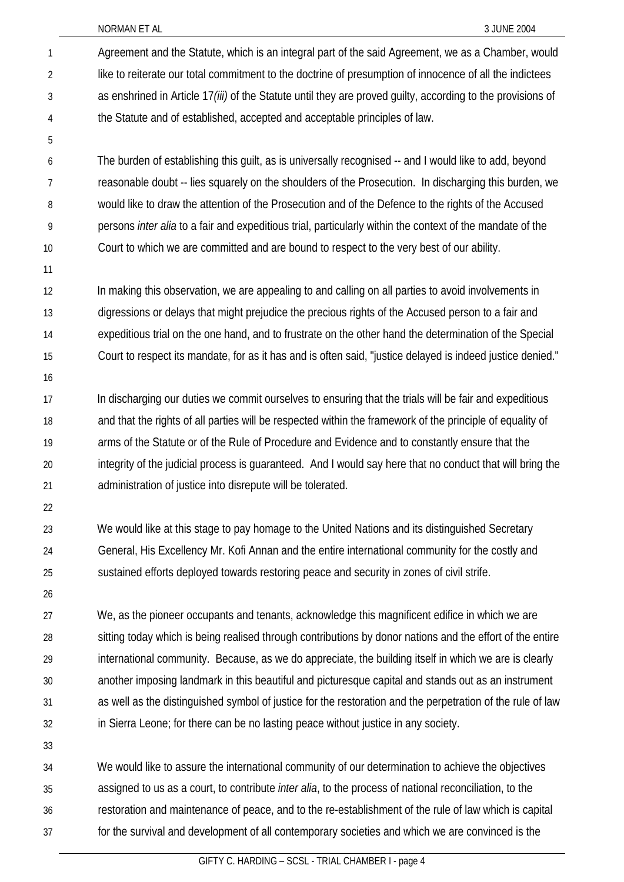| $\mathbf{1}$   | Agreement and the Statute, which is an integral part of the said Agreement, we as a Chamber, would               |
|----------------|------------------------------------------------------------------------------------------------------------------|
| 2              | like to reiterate our total commitment to the doctrine of presumption of innocence of all the indictees          |
| 3              | as enshrined in Article 17 (iii) of the Statute until they are proved guilty, according to the provisions of     |
| 4              | the Statute and of established, accepted and acceptable principles of law.                                       |
| 5              |                                                                                                                  |
| 6              | The burden of establishing this guilt, as is universally recognised -- and I would like to add, beyond           |
| $\overline{7}$ | reasonable doubt -- lies squarely on the shoulders of the Prosecution. In discharging this burden, we            |
| 8              | would like to draw the attention of the Prosecution and of the Defence to the rights of the Accused              |
| 9              | persons <i>inter alia</i> to a fair and expeditious trial, particularly within the context of the mandate of the |
| 10             | Court to which we are committed and are bound to respect to the very best of our ability.                        |
| 11             |                                                                                                                  |
| 12             | In making this observation, we are appealing to and calling on all parties to avoid involvements in              |
| 13             | digressions or delays that might prejudice the precious rights of the Accused person to a fair and               |
| 14             | expeditious trial on the one hand, and to frustrate on the other hand the determination of the Special           |
| 15             | Court to respect its mandate, for as it has and is often said, "justice delayed is indeed justice denied."       |
| 16             |                                                                                                                  |
| 17             | In discharging our duties we commit ourselves to ensuring that the trials will be fair and expeditious           |
| 18             | and that the rights of all parties will be respected within the framework of the principle of equality of        |
| 19             | arms of the Statute or of the Rule of Procedure and Evidence and to constantly ensure that the                   |
| 20             | integrity of the judicial process is guaranteed. And I would say here that no conduct that will bring the        |
| 21             | administration of justice into disrepute will be tolerated.                                                      |
| 22             |                                                                                                                  |
| 23             | We would like at this stage to pay homage to the United Nations and its distinguished Secretary                  |
| 24             | General, His Excellency Mr. Kofi Annan and the entire international community for the costly and                 |
| 25             | sustained efforts deployed towards restoring peace and security in zones of civil strife.                        |
| 26             |                                                                                                                  |
| 27             | We, as the pioneer occupants and tenants, acknowledge this magnificent edifice in which we are                   |
| 28             | sitting today which is being realised through contributions by donor nations and the effort of the entire        |
| 29             | international community. Because, as we do appreciate, the building itself in which we are is clearly            |
| 30             | another imposing landmark in this beautiful and picturesque capital and stands out as an instrument              |
| 31             | as well as the distinguished symbol of justice for the restoration and the perpetration of the rule of law       |
| 32             | in Sierra Leone; for there can be no lasting peace without justice in any society.                               |
| 33             |                                                                                                                  |
| 34             | We would like to assure the international community of our determination to achieve the objectives               |
| 35             | assigned to us as a court, to contribute <i>inter alia</i> , to the process of national reconciliation, to the   |
| 36             | restoration and maintenance of peace, and to the re-establishment of the rule of law which is capital            |
| 37             | for the survival and development of all contemporary societies and which we are convinced is the                 |
|                |                                                                                                                  |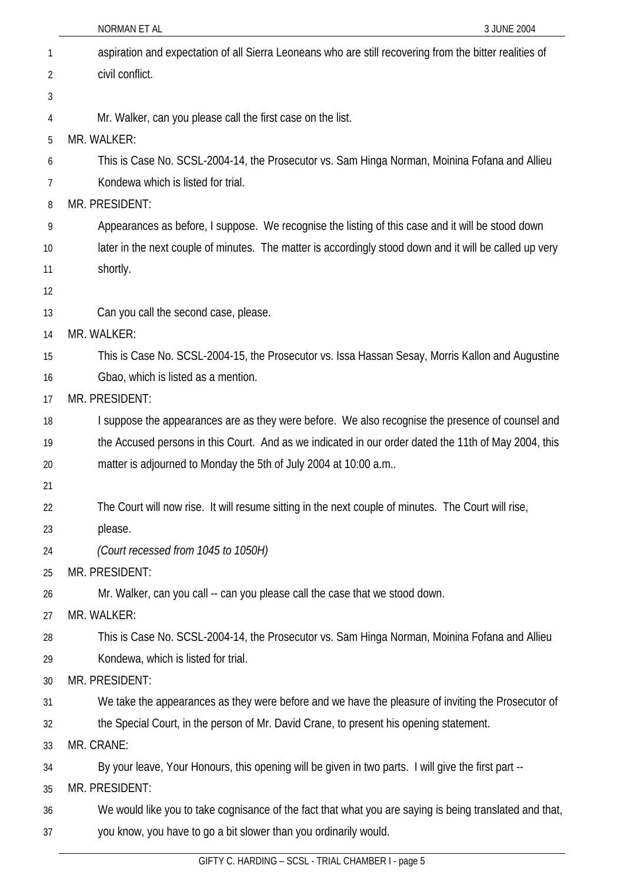|                | NORMAN ET AL<br>3 JUNE 2004                                                                             |
|----------------|---------------------------------------------------------------------------------------------------------|
| $\mathbf{1}$   | aspiration and expectation of all Sierra Leoneans who are still recovering from the bitter realities of |
| $\overline{2}$ | civil conflict.                                                                                         |
| 3              |                                                                                                         |
| 4              | Mr. Walker, can you please call the first case on the list.                                             |
| 5              | MR. WALKER:                                                                                             |
| 6              | This is Case No. SCSL-2004-14, the Prosecutor vs. Sam Hinga Norman, Moinina Fofana and Allieu           |
| 7              | Kondewa which is listed for trial.                                                                      |
| 8              | MR. PRESIDENT:                                                                                          |
| 9              | Appearances as before, I suppose. We recognise the listing of this case and it will be stood down       |
| $10 \,$        | later in the next couple of minutes. The matter is accordingly stood down and it will be called up very |
| 11             | shortly.                                                                                                |
| 12             |                                                                                                         |
| 13             | Can you call the second case, please.                                                                   |
| 14             | MR. WALKER:                                                                                             |
| 15             | This is Case No. SCSL-2004-15, the Prosecutor vs. Issa Hassan Sesay, Morris Kallon and Augustine        |
| 16             | Gbao, which is listed as a mention.                                                                     |
| 17             | MR. PRESIDENT:                                                                                          |
| 18             | I suppose the appearances are as they were before. We also recognise the presence of counsel and        |
| 19             | the Accused persons in this Court. And as we indicated in our order dated the 11th of May 2004, this    |
| 20             | matter is adjourned to Monday the 5th of July 2004 at 10:00 a.m                                         |
| 21             |                                                                                                         |
| 22             | The Court will now rise. It will resume sitting in the next couple of minutes. The Court will rise,     |
| 23             | please.                                                                                                 |
| 24             | (Court recessed from 1045 to 1050H)                                                                     |
| 25             | MR. PRESIDENT:                                                                                          |
| 26             | Mr. Walker, can you call -- can you please call the case that we stood down.                            |
| 27             | MR. WALKER:                                                                                             |
| 28             | This is Case No. SCSL-2004-14, the Prosecutor vs. Sam Hinga Norman, Moinina Fofana and Allieu           |
| 29<br>30       | Kondewa, which is listed for trial.<br>MR. PRESIDENT:                                                   |
| 31             | We take the appearances as they were before and we have the pleasure of inviting the Prosecutor of      |
| 32             | the Special Court, in the person of Mr. David Crane, to present his opening statement.                  |
| 33             | MR. CRANE:                                                                                              |
| 34             | By your leave, Your Honours, this opening will be given in two parts. I will give the first part --     |
| 35             | MR. PRESIDENT:                                                                                          |
| 36             | We would like you to take cognisance of the fact that what you are saying is being translated and that, |
| 37             | you know, you have to go a bit slower than you ordinarily would.                                        |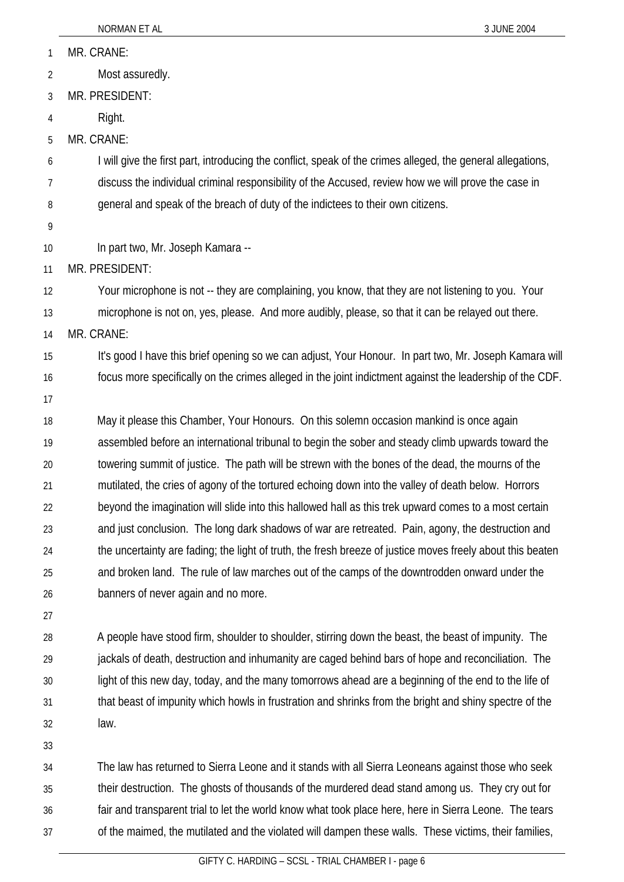2

3

4

5

6

7 8

9

10

11

12

13

14 15

16 17

18

19

20

21

22

23 24

25

26

27

28

29

30

31

32

law.

| MR. CRANE:                                                                                                                                                                                              |
|---------------------------------------------------------------------------------------------------------------------------------------------------------------------------------------------------------|
| Most assuredly.                                                                                                                                                                                         |
| MR. PRESIDENT:                                                                                                                                                                                          |
| Right.                                                                                                                                                                                                  |
| MR. CRANE:                                                                                                                                                                                              |
| I will give the first part, introducing the conflict, speak of the crimes alleged, the general allegations,                                                                                             |
| discuss the individual criminal responsibility of the Accused, review how we will prove the case in                                                                                                     |
| general and speak of the breach of duty of the indictees to their own citizens.                                                                                                                         |
| In part two, Mr. Joseph Kamara --                                                                                                                                                                       |
| MR. PRESIDENT:                                                                                                                                                                                          |
| Your microphone is not -- they are complaining, you know, that they are not listening to you. Your<br>microphone is not on, yes, please. And more audibly, please, so that it can be relayed out there. |
| MR. CRANE:                                                                                                                                                                                              |
| It's good I have this brief opening so we can adjust, Your Honour. In part two, Mr. Joseph Kamara will                                                                                                  |
| focus more specifically on the crimes alleged in the joint indictment against the leadership of the CDF.                                                                                                |
| May it please this Chamber, Your Honours. On this solemn occasion mankind is once again                                                                                                                 |
| assembled before an international tribunal to begin the sober and steady climb upwards toward the                                                                                                       |
| towering summit of justice. The path will be strewn with the bones of the dead, the mourns of the                                                                                                       |
| mutilated, the cries of agony of the tortured echoing down into the valley of death below. Horrors                                                                                                      |
| beyond the imagination will slide into this hallowed hall as this trek upward comes to a most certain                                                                                                   |
| and just conclusion. The long dark shadows of war are retreated. Pain, agony, the destruction and                                                                                                       |
| the uncertainty are fading; the light of truth, the fresh breeze of justice moves freely about this beaten                                                                                              |
| and broken land. The rule of law marches out of the camps of the downtrodden onward under the                                                                                                           |
| banners of never again and no more.                                                                                                                                                                     |
| A people have stood firm, shoulder to shoulder, stirring down the beast, the beast of impunity. The                                                                                                     |
| jackals of death, destruction and inhumanity are caged behind bars of hope and reconciliation. The                                                                                                      |
| light of this new day, today, and the many tomorrows ahead are a beginning of the end to the life of                                                                                                    |
| that beast of impunity which howls in frustration and shrinks from the bright and shiny spectre of the                                                                                                  |

33

34 35 36 37 The law has returned to Sierra Leone and it stands with all Sierra Leoneans against those who seek their destruction. The ghosts of thousands of the murdered dead stand among us. They cry out for fair and transparent trial to let the world know what took place here, here in Sierra Leone. The tears of the maimed, the mutilated and the violated will dampen these walls. These victims, their families,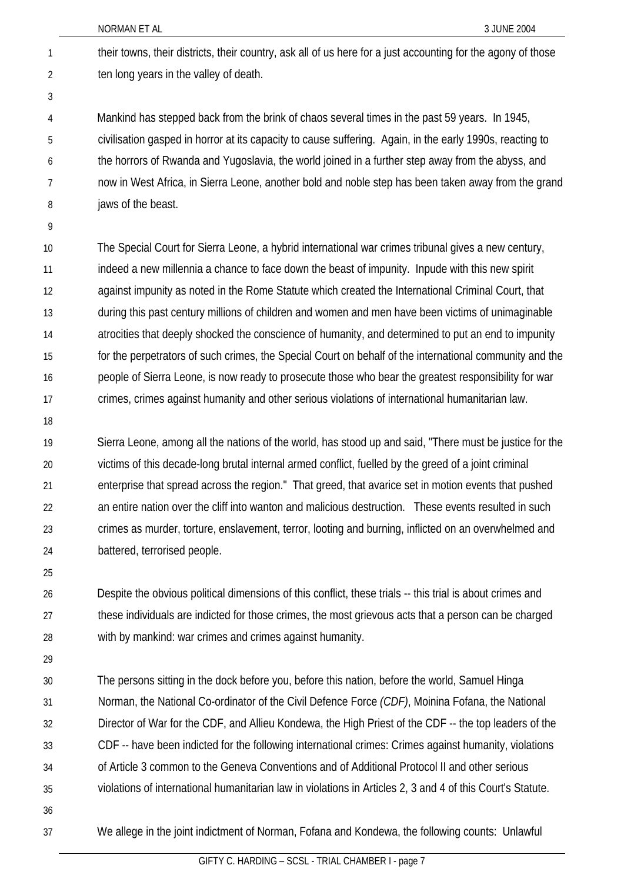their towns, their districts, their country, ask all of us here for a just accounting for the agony of those ten long years in the valley of death. 1 2

4 5 6 7 8 Mankind has stepped back from the brink of chaos several times in the past 59 years. In 1945, civilisation gasped in horror at its capacity to cause suffering. Again, in the early 1990s, reacting to the horrors of Rwanda and Yugoslavia, the world joined in a further step away from the abyss, and now in West Africa, in Sierra Leone, another bold and noble step has been taken away from the grand jaws of the beast.

9

3

10 11 12 13 14 15 16 17 The Special Court for Sierra Leone, a hybrid international war crimes tribunal gives a new century, indeed a new millennia a chance to face down the beast of impunity. Inpude with this new spirit against impunity as noted in the Rome Statute which created the International Criminal Court, that during this past century millions of children and women and men have been victims of unimaginable atrocities that deeply shocked the conscience of humanity, and determined to put an end to impunity for the perpetrators of such crimes, the Special Court on behalf of the international community and the people of Sierra Leone, is now ready to prosecute those who bear the greatest responsibility for war crimes, crimes against humanity and other serious violations of international humanitarian law.

18

19 20 21 22 23 24 Sierra Leone, among all the nations of the world, has stood up and said, "There must be justice for the victims of this decade-long brutal internal armed conflict, fuelled by the greed of a joint criminal enterprise that spread across the region." That greed, that avarice set in motion events that pushed an entire nation over the cliff into wanton and malicious destruction. These events resulted in such crimes as murder, torture, enslavement, terror, looting and burning, inflicted on an overwhelmed and battered, terrorised people.

25

26 27 28 Despite the obvious political dimensions of this conflict, these trials -- this trial is about crimes and these individuals are indicted for those crimes, the most grievous acts that a person can be charged with by mankind: war crimes and crimes against humanity.

29

30 31 32 33 34 35 36 The persons sitting in the dock before you, before this nation, before the world, Samuel Hinga Norman, the National Co-ordinator of the Civil Defence Force *(CDF)*, Moinina Fofana, the National Director of War for the CDF, and Allieu Kondewa, the High Priest of the CDF -- the top leaders of the CDF -- have been indicted for the following international crimes: Crimes against humanity, violations of Article 3 common to the Geneva Conventions and of Additional Protocol II and other serious violations of international humanitarian law in violations in Articles 2, 3 and 4 of this Court's Statute.

37 We allege in the joint indictment of Norman, Fofana and Kondewa, the following counts: Unlawful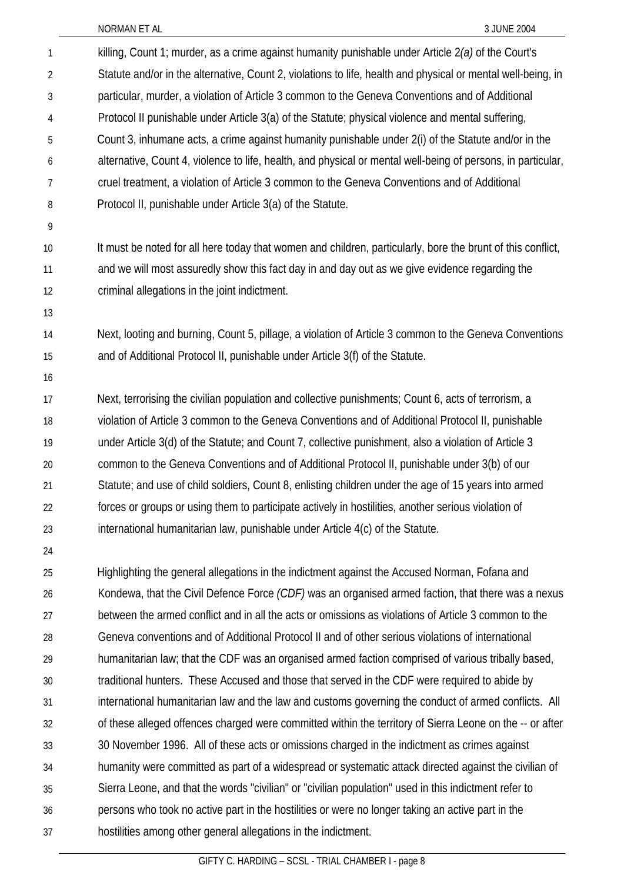| $\mathbf{1}$   | killing, Count 1; murder, as a crime against humanity punishable under Article $2(a)$ of the Court's         |
|----------------|--------------------------------------------------------------------------------------------------------------|
| $\overline{2}$ | Statute and/or in the alternative, Count 2, violations to life, health and physical or mental well-being, in |
| 3              | particular, murder, a violation of Article 3 common to the Geneva Conventions and of Additional              |
| 4              | Protocol II punishable under Article 3(a) of the Statute; physical violence and mental suffering,            |
| 5              | Count 3, inhumane acts, a crime against humanity punishable under 2(i) of the Statute and/or in the          |
| 6              | alternative, Count 4, violence to life, health, and physical or mental well-being of persons, in particular, |
| $\overline{7}$ | cruel treatment, a violation of Article 3 common to the Geneva Conventions and of Additional                 |
| 8              | Protocol II, punishable under Article 3(a) of the Statute.                                                   |
| 9              |                                                                                                              |
| $10 \,$        | It must be noted for all here today that women and children, particularly, bore the brunt of this conflict,  |
| 11             | and we will most assuredly show this fact day in and day out as we give evidence regarding the               |
| 12             | criminal allegations in the joint indictment.                                                                |
| 13             |                                                                                                              |
| 14             | Next, looting and burning, Count 5, pillage, a violation of Article 3 common to the Geneva Conventions       |
| 15             | and of Additional Protocol II, punishable under Article 3(f) of the Statute.                                 |
| 16             |                                                                                                              |
| 17             | Next, terrorising the civilian population and collective punishments; Count 6, acts of terrorism, a          |
| 18             | violation of Article 3 common to the Geneva Conventions and of Additional Protocol II, punishable            |
| 19             | under Article 3(d) of the Statute; and Count 7, collective punishment, also a violation of Article 3         |
| 20             | common to the Geneva Conventions and of Additional Protocol II, punishable under 3(b) of our                 |
| 21             | Statute; and use of child soldiers, Count 8, enlisting children under the age of 15 years into armed         |
| 22             | forces or groups or using them to participate actively in hostilities, another serious violation of          |
| 23             | international humanitarian law, punishable under Article 4(c) of the Statute.                                |
| 24             |                                                                                                              |
| 25             | Highlighting the general allegations in the indictment against the Accused Norman, Fofana and                |
| 26             | Kondewa, that the Civil Defence Force (CDF) was an organised armed faction, that there was a nexus           |
| 27             | between the armed conflict and in all the acts or omissions as violations of Article 3 common to the         |
| 28             | Geneva conventions and of Additional Protocol II and of other serious violations of international            |
| 29             | humanitarian law; that the CDF was an organised armed faction comprised of various tribally based,           |
| 30             | traditional hunters. These Accused and those that served in the CDF were required to abide by                |
| 31             | international humanitarian law and the law and customs governing the conduct of armed conflicts. All         |
| 32             | of these alleged offences charged were committed within the territory of Sierra Leone on the -- or after     |
| 33             | 30 November 1996. All of these acts or omissions charged in the indictment as crimes against                 |
| 34             | humanity were committed as part of a widespread or systematic attack directed against the civilian of        |
| 35             | Sierra Leone, and that the words "civilian" or "civilian population" used in this indictment refer to        |
| 36             | persons who took no active part in the hostilities or were no longer taking an active part in the            |
| 37             | hostilities among other general allegations in the indictment.                                               |
|                |                                                                                                              |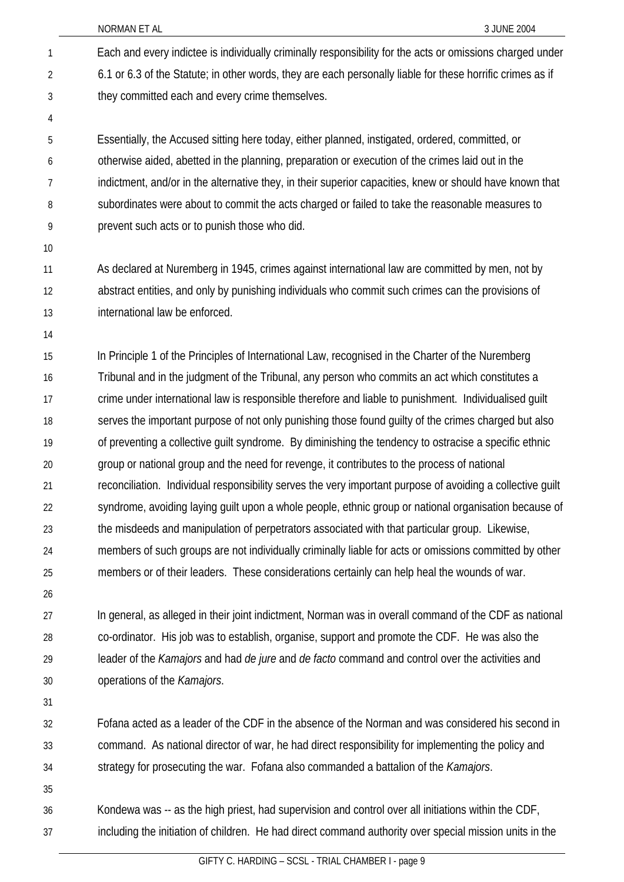- Each and every indictee is individually criminally responsibility for the acts or omissions charged under 6.1 or 6.3 of the Statute; in other words, they are each personally liable for these horrific crimes as if they committed each and every crime themselves. 1 2 3
- 4

5 6 7 8 9 Essentially, the Accused sitting here today, either planned, instigated, ordered, committed, or otherwise aided, abetted in the planning, preparation or execution of the crimes laid out in the indictment, and/or in the alternative they, in their superior capacities, knew or should have known that subordinates were about to commit the acts charged or failed to take the reasonable measures to prevent such acts or to punish those who did.

10

11 12 13 As declared at Nuremberg in 1945, crimes against international law are committed by men, not by abstract entities, and only by punishing individuals who commit such crimes can the provisions of international law be enforced.

14

15 16 17 18 19 20 21 22 23 24 25 In Principle 1 of the Principles of International Law, recognised in the Charter of the Nuremberg Tribunal and in the judgment of the Tribunal, any person who commits an act which constitutes a crime under international law is responsible therefore and liable to punishment. Individualised guilt serves the important purpose of not only punishing those found guilty of the crimes charged but also of preventing a collective guilt syndrome. By diminishing the tendency to ostracise a specific ethnic group or national group and the need for revenge, it contributes to the process of national reconciliation. Individual responsibility serves the very important purpose of avoiding a collective guilt syndrome, avoiding laying guilt upon a whole people, ethnic group or national organisation because of the misdeeds and manipulation of perpetrators associated with that particular group. Likewise, members of such groups are not individually criminally liable for acts or omissions committed by other members or of their leaders. These considerations certainly can help heal the wounds of war.

26

27 28 29 30 In general, as alleged in their joint indictment, Norman was in overall command of the CDF as national co-ordinator. His job was to establish, organise, support and promote the CDF. He was also the leader of the *Kamajors* and had *de jure* and *de facto* command and control over the activities and operations of the *Kamajors*.

31

32 33 34 Fofana acted as a leader of the CDF in the absence of the Norman and was considered his second in command. As national director of war, he had direct responsibility for implementing the policy and strategy for prosecuting the war. Fofana also commanded a battalion of the *Kamajors*.

35

36 37 Kondewa was -- as the high priest, had supervision and control over all initiations within the CDF, including the initiation of children. He had direct command authority over special mission units in the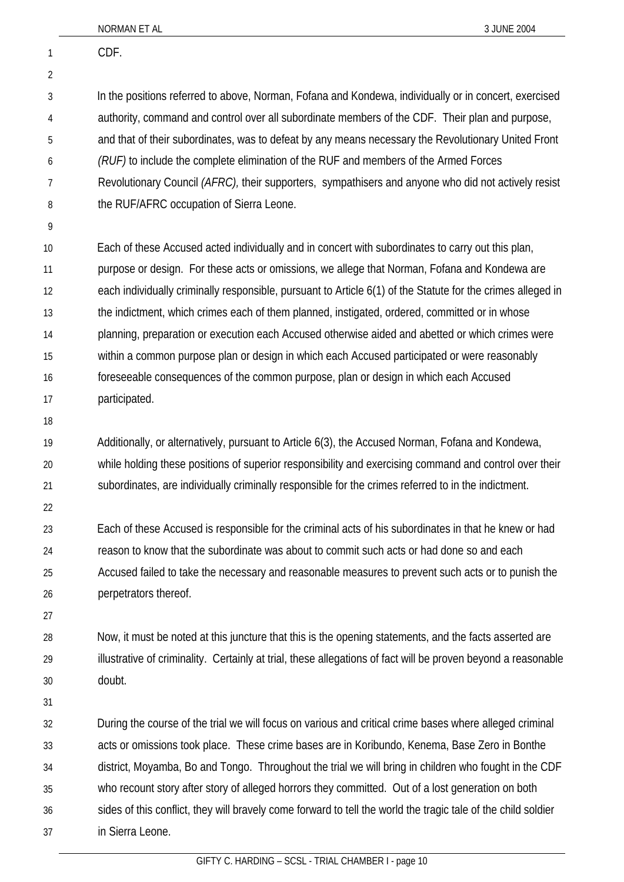|                | NORMAN ET AL<br>3 JUNE 2004                                                                                   |
|----------------|---------------------------------------------------------------------------------------------------------------|
| 1              | CDF.                                                                                                          |
| $\overline{2}$ |                                                                                                               |
| 3              | In the positions referred to above, Norman, Fofana and Kondewa, individually or in concert, exercised         |
| 4              | authority, command and control over all subordinate members of the CDF. Their plan and purpose,               |
| 5              | and that of their subordinates, was to defeat by any means necessary the Revolutionary United Front           |
| 6              | (RUF) to include the complete elimination of the RUF and members of the Armed Forces                          |
| 7              | Revolutionary Council (AFRC), their supporters, sympathisers and anyone who did not actively resist           |
| 8              | the RUF/AFRC occupation of Sierra Leone.                                                                      |
| 9              |                                                                                                               |
| 10             | Each of these Accused acted individually and in concert with subordinates to carry out this plan,             |
| 11             | purpose or design. For these acts or omissions, we allege that Norman, Fofana and Kondewa are                 |
| 12             | each individually criminally responsible, pursuant to Article 6(1) of the Statute for the crimes alleged in   |
| 13             | the indictment, which crimes each of them planned, instigated, ordered, committed or in whose                 |
| 14             | planning, preparation or execution each Accused otherwise aided and abetted or which crimes were              |
| 15             | within a common purpose plan or design in which each Accused participated or were reasonably                  |
| 16             | foreseeable consequences of the common purpose, plan or design in which each Accused                          |
| 17             | participated.                                                                                                 |
| 18             |                                                                                                               |
| 19             | Additionally, or alternatively, pursuant to Article 6(3), the Accused Norman, Fofana and Kondewa,             |
| 20             | while holding these positions of superior responsibility and exercising command and control over their        |
| 21             | subordinates, are individually criminally responsible for the crimes referred to in the indictment.           |
| 22             |                                                                                                               |
| 23             | Each of these Accused is responsible for the criminal acts of his subordinates in that he knew or had         |
| 24             | reason to know that the subordinate was about to commit such acts or had done so and each                     |
| 25             | Accused failed to take the necessary and reasonable measures to prevent such acts or to punish the            |
| 26             | perpetrators thereof.                                                                                         |
| 27             |                                                                                                               |
| 28             | Now, it must be noted at this juncture that this is the opening statements, and the facts asserted are        |
| 29             | illustrative of criminality. Certainly at trial, these allegations of fact will be proven beyond a reasonable |
| 30             | doubt.                                                                                                        |
| 31             |                                                                                                               |
| 32             | During the course of the trial we will focus on various and critical crime bases where alleged criminal       |
| 33             | acts or omissions took place. These crime bases are in Koribundo, Kenema, Base Zero in Bonthe                 |
| 34             | district, Moyamba, Bo and Tongo. Throughout the trial we will bring in children who fought in the CDF         |
| 35             | who recount story after story of alleged horrors they committed. Out of a lost generation on both             |
| 36             | sides of this conflict, they will bravely come forward to tell the world the tragic tale of the child soldier |
| 37             | in Sierra Leone.                                                                                              |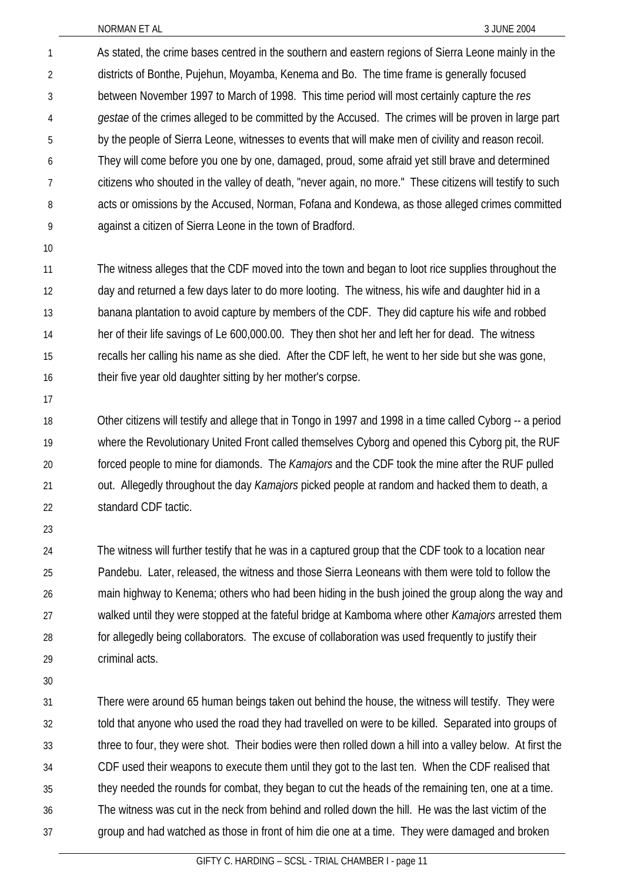As stated, the crime bases centred in the southern and eastern regions of Sierra Leone mainly in the districts of Bonthe, Pujehun, Moyamba, Kenema and Bo. The time frame is generally focused between November 1997 to March of 1998. This time period will most certainly capture the *res gestae* of the crimes alleged to be committed by the Accused. The crimes will be proven in large part by the people of Sierra Leone, witnesses to events that will make men of civility and reason recoil. They will come before you one by one, damaged, proud, some afraid yet still brave and determined citizens who shouted in the valley of death, "never again, no more." These citizens will testify to such acts or omissions by the Accused, Norman, Fofana and Kondewa, as those alleged crimes committed against a citizen of Sierra Leone in the town of Bradford. 1 2 3 4 5 6 7 8 9

10

11 12 13 14 15 16 The witness alleges that the CDF moved into the town and began to loot rice supplies throughout the day and returned a few days later to do more looting. The witness, his wife and daughter hid in a banana plantation to avoid capture by members of the CDF. They did capture his wife and robbed her of their life savings of Le 600,000.00. They then shot her and left her for dead. The witness recalls her calling his name as she died. After the CDF left, he went to her side but she was gone, their five year old daughter sitting by her mother's corpse.

17

18 19 20 21 22 Other citizens will testify and allege that in Tongo in 1997 and 1998 in a time called Cyborg -- a period where the Revolutionary United Front called themselves Cyborg and opened this Cyborg pit, the RUF forced people to mine for diamonds. The *Kamajors* and the CDF took the mine after the RUF pulled out. Allegedly throughout the day *Kamajors* picked people at random and hacked them to death, a standard CDF tactic.

23

24 25 26 27 28 29 The witness will further testify that he was in a captured group that the CDF took to a location near Pandebu. Later, released, the witness and those Sierra Leoneans with them were told to follow the main highway to Kenema; others who had been hiding in the bush joined the group along the way and walked until they were stopped at the fateful bridge at Kamboma where other *Kamajors* arrested them for allegedly being collaborators. The excuse of collaboration was used frequently to justify their criminal acts.

30

31 32 33 34 35 36 37 There were around 65 human beings taken out behind the house, the witness will testify. They were told that anyone who used the road they had travelled on were to be killed. Separated into groups of three to four, they were shot. Their bodies were then rolled down a hill into a valley below. At first the CDF used their weapons to execute them until they got to the last ten. When the CDF realised that they needed the rounds for combat, they began to cut the heads of the remaining ten, one at a time. The witness was cut in the neck from behind and rolled down the hill. He was the last victim of the group and had watched as those in front of him die one at a time. They were damaged and broken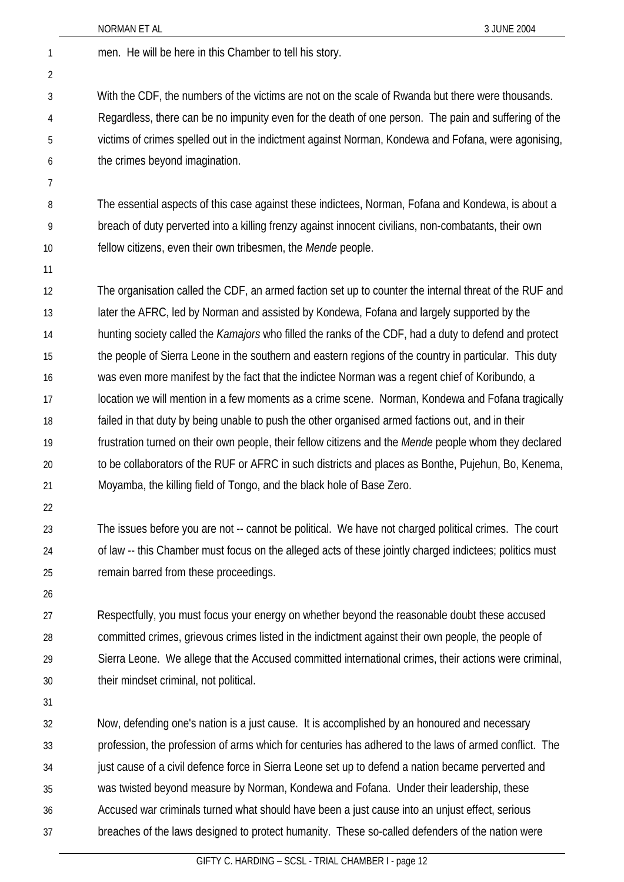| $\mathbf{1}$<br>$\overline{2}$ | men. He will be here in this Chamber to tell his story.                                                 |
|--------------------------------|---------------------------------------------------------------------------------------------------------|
| 3                              | With the CDF, the numbers of the victims are not on the scale of Rwanda but there were thousands.       |
| 4                              | Regardless, there can be no impunity even for the death of one person. The pain and suffering of the    |
| 5                              | victims of crimes spelled out in the indictment against Norman, Kondewa and Fofana, were agonising,     |
| 6                              | the crimes beyond imagination.                                                                          |
| 7                              |                                                                                                         |
| 8                              | The essential aspects of this case against these indictees, Norman, Fofana and Kondewa, is about a      |
| 9                              | breach of duty perverted into a killing frenzy against innocent civilians, non-combatants, their own    |
| 10                             | fellow citizens, even their own tribesmen, the Mende people.                                            |
| 11                             |                                                                                                         |
| 12                             | The organisation called the CDF, an armed faction set up to counter the internal threat of the RUF and  |
| 13                             | later the AFRC, led by Norman and assisted by Kondewa, Fofana and largely supported by the              |
| 14                             | hunting society called the Kamajors who filled the ranks of the CDF, had a duty to defend and protect   |
| 15                             | the people of Sierra Leone in the southern and eastern regions of the country in particular. This duty  |
| 16                             | was even more manifest by the fact that the indictee Norman was a regent chief of Koribundo, a          |
| 17                             | location we will mention in a few moments as a crime scene. Norman, Kondewa and Fofana tragically       |
| 18                             | failed in that duty by being unable to push the other organised armed factions out, and in their        |
| 19                             | frustration turned on their own people, their fellow citizens and the Mende people whom they declared   |
| 20                             | to be collaborators of the RUF or AFRC in such districts and places as Bonthe, Pujehun, Bo, Kenema,     |
| 21                             | Moyamba, the killing field of Tongo, and the black hole of Base Zero.                                   |
| 22                             |                                                                                                         |
| 23                             | The issues before you are not -- cannot be political. We have not charged political crimes. The court   |
| 24                             | of law -- this Chamber must focus on the alleged acts of these jointly charged indictees; politics must |
| 25                             | remain barred from these proceedings.                                                                   |
| 26                             |                                                                                                         |
| 27                             | Respectfully, you must focus your energy on whether beyond the reasonable doubt these accused           |
| 28                             | committed crimes, grievous crimes listed in the indictment against their own people, the people of      |
| 29                             | Sierra Leone. We allege that the Accused committed international crimes, their actions were criminal,   |
| 30                             | their mindset criminal, not political.                                                                  |
| 31                             |                                                                                                         |
| 32                             | Now, defending one's nation is a just cause. It is accomplished by an honoured and necessary            |
| 33                             | profession, the profession of arms which for centuries has adhered to the laws of armed conflict. The   |
| 34                             | just cause of a civil defence force in Sierra Leone set up to defend a nation became perverted and      |
| 35                             | was twisted beyond measure by Norman, Kondewa and Fofana. Under their leadership, these                 |
| 36                             | Accused war criminals turned what should have been a just cause into an unjust effect, serious          |
| 37                             | breaches of the laws designed to protect humanity. These so-called defenders of the nation were         |
|                                |                                                                                                         |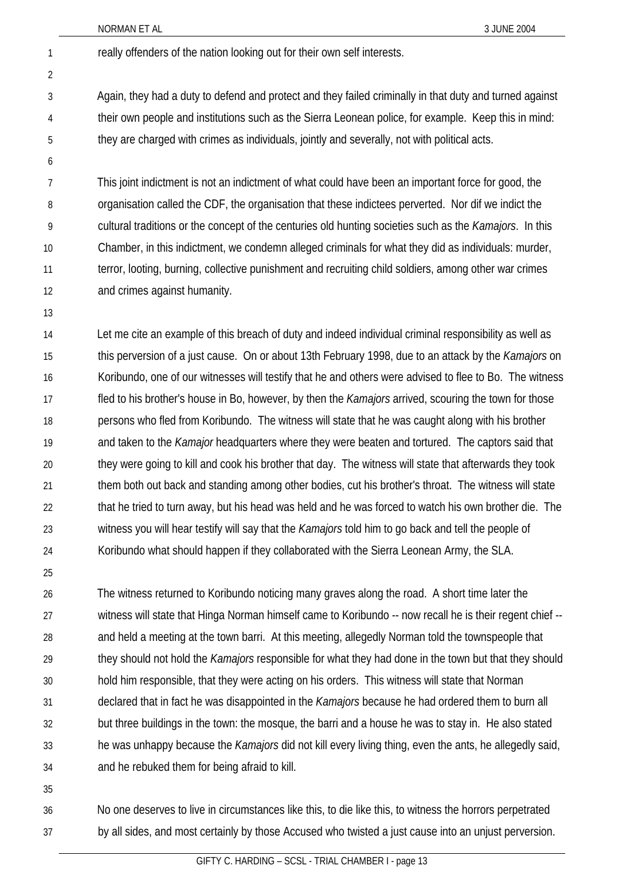1 really offenders of the nation looking out for their own self interests.

3 4 5 Again, they had a duty to defend and protect and they failed criminally in that duty and turned against their own people and institutions such as the Sierra Leonean police, for example. Keep this in mind: they are charged with crimes as individuals, jointly and severally, not with political acts.

7 8 9 10 11 12 This joint indictment is not an indictment of what could have been an important force for good, the organisation called the CDF, the organisation that these indictees perverted. Nor dif we indict the cultural traditions or the concept of the centuries old hunting societies such as the *Kamajors*. In this Chamber, in this indictment, we condemn alleged criminals for what they did as individuals: murder, terror, looting, burning, collective punishment and recruiting child soldiers, among other war crimes and crimes against humanity.

13

2

6

14 15 16 17 18 19 20 21 22 23 24 Let me cite an example of this breach of duty and indeed individual criminal responsibility as well as this perversion of a just cause. On or about 13th February 1998, due to an attack by the *Kamajors* on Koribundo, one of our witnesses will testify that he and others were advised to flee to Bo. The witness fled to his brother's house in Bo, however, by then the *Kamajors* arrived, scouring the town for those persons who fled from Koribundo. The witness will state that he was caught along with his brother and taken to the *Kamajor* headquarters where they were beaten and tortured. The captors said that they were going to kill and cook his brother that day. The witness will state that afterwards they took them both out back and standing among other bodies, cut his brother's throat. The witness will state that he tried to turn away, but his head was held and he was forced to watch his own brother die. The witness you will hear testify will say that the *Kamajors* told him to go back and tell the people of Koribundo what should happen if they collaborated with the Sierra Leonean Army, the SLA.

25

26 27 28 29 30 31 32 33 34 The witness returned to Koribundo noticing many graves along the road. A short time later the witness will state that Hinga Norman himself came to Koribundo -- now recall he is their regent chief -and held a meeting at the town barri. At this meeting, allegedly Norman told the townspeople that they should not hold the *Kamajors* responsible for what they had done in the town but that they should hold him responsible, that they were acting on his orders. This witness will state that Norman declared that in fact he was disappointed in the *Kamajors* because he had ordered them to burn all but three buildings in the town: the mosque, the barri and a house he was to stay in. He also stated he was unhappy because the *Kamajors* did not kill every living thing, even the ants, he allegedly said, and he rebuked them for being afraid to kill.

35

36 37 No one deserves to live in circumstances like this, to die like this, to witness the horrors perpetrated by all sides, and most certainly by those Accused who twisted a just cause into an unjust perversion.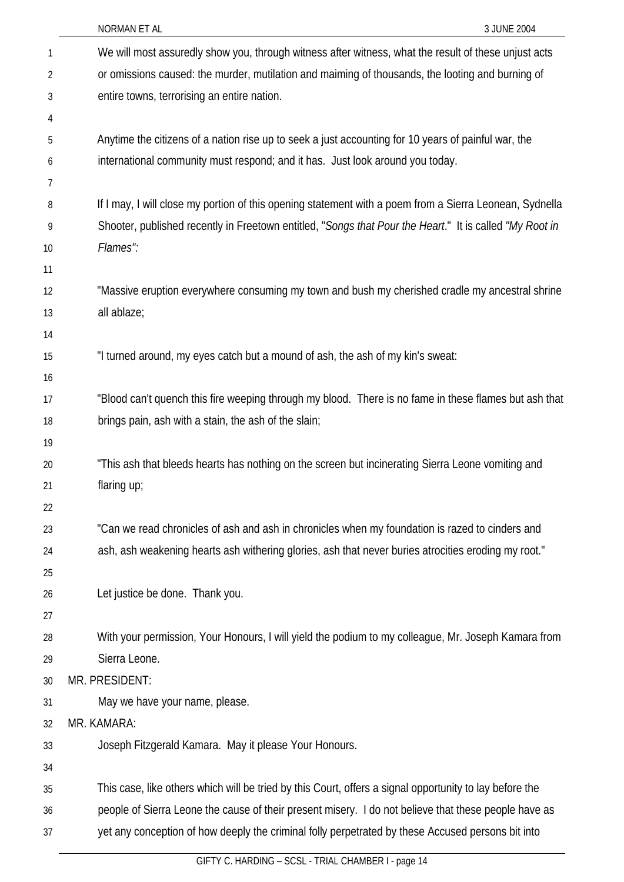|                | NORMAN ET AL<br>3 JUNE 2004                                                                             |
|----------------|---------------------------------------------------------------------------------------------------------|
| 1              | We will most assuredly show you, through witness after witness, what the result of these unjust acts    |
| $\overline{2}$ | or omissions caused: the murder, mutilation and maiming of thousands, the looting and burning of        |
| 3              | entire towns, terrorising an entire nation.                                                             |
| 4              |                                                                                                         |
| 5              | Anytime the citizens of a nation rise up to seek a just accounting for 10 years of painful war, the     |
| 6              | international community must respond; and it has. Just look around you today.                           |
| 7              |                                                                                                         |
| 8              | If I may, I will close my portion of this opening statement with a poem from a Sierra Leonean, Sydnella |
| 9              | Shooter, published recently in Freetown entitled, "Songs that Pour the Heart." It is called "My Root in |
| 10             | Flames":                                                                                                |
| 11             |                                                                                                         |
| 12             | "Massive eruption everywhere consuming my town and bush my cherished cradle my ancestral shrine         |
| 13             | all ablaze;                                                                                             |
| 14             |                                                                                                         |
| 15             | "I turned around, my eyes catch but a mound of ash, the ash of my kin's sweat:                          |
| 16             |                                                                                                         |
| 17             | "Blood can't quench this fire weeping through my blood. There is no fame in these flames but ash that   |
| 18             | brings pain, ash with a stain, the ash of the slain;                                                    |
| 19             |                                                                                                         |
| 20             | "This ash that bleeds hearts has nothing on the screen but incinerating Sierra Leone vomiting and       |
| 21             | flaring up;                                                                                             |
| 22             |                                                                                                         |
| 23             | "Can we read chronicles of ash and ash in chronicles when my foundation is razed to cinders and         |
| 24             | ash, ash weakening hearts ash withering glories, ash that never buries atrocities eroding my root."     |
| 25             |                                                                                                         |
| 26<br>27       | Let justice be done. Thank you.                                                                         |
| 28             | With your permission, Your Honours, I will yield the podium to my colleague, Mr. Joseph Kamara from     |
| 29             | Sierra Leone.                                                                                           |
| 30             | MR. PRESIDENT:                                                                                          |
| 31             | May we have your name, please.                                                                          |
| 32             | MR. KAMARA:                                                                                             |
| 33             | Joseph Fitzgerald Kamara. May it please Your Honours.                                                   |
| 34             |                                                                                                         |
| 35             | This case, like others which will be tried by this Court, offers a signal opportunity to lay before the |
| 36             | people of Sierra Leone the cause of their present misery. I do not believe that these people have as    |
| 37             | yet any conception of how deeply the criminal folly perpetrated by these Accused persons bit into       |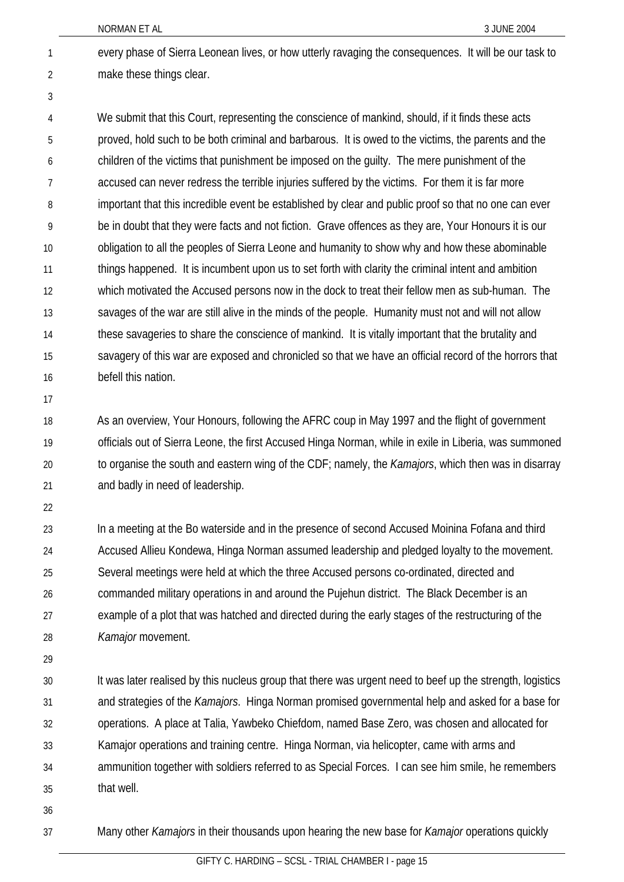every phase of Sierra Leonean lives, or how utterly ravaging the consequences. It will be our task to make these things clear.

2 3

1

4 5 6 7 8 9 10 11 12 13 14 15 16 We submit that this Court, representing the conscience of mankind, should, if it finds these acts proved, hold such to be both criminal and barbarous. It is owed to the victims, the parents and the children of the victims that punishment be imposed on the guilty. The mere punishment of the accused can never redress the terrible injuries suffered by the victims. For them it is far more important that this incredible event be established by clear and public proof so that no one can ever be in doubt that they were facts and not fiction. Grave offences as they are, Your Honours it is our obligation to all the peoples of Sierra Leone and humanity to show why and how these abominable things happened. It is incumbent upon us to set forth with clarity the criminal intent and ambition which motivated the Accused persons now in the dock to treat their fellow men as sub-human. The savages of the war are still alive in the minds of the people. Humanity must not and will not allow these savageries to share the conscience of mankind. It is vitally important that the brutality and savagery of this war are exposed and chronicled so that we have an official record of the horrors that befell this nation.

17

18 19 20 21 As an overview, Your Honours, following the AFRC coup in May 1997 and the flight of government officials out of Sierra Leone, the first Accused Hinga Norman, while in exile in Liberia, was summoned to organise the south and eastern wing of the CDF; namely, the *Kamajors*, which then was in disarray and badly in need of leadership.

22

23 24 25 26 27 28 In a meeting at the Bo waterside and in the presence of second Accused Moinina Fofana and third Accused Allieu Kondewa, Hinga Norman assumed leadership and pledged loyalty to the movement. Several meetings were held at which the three Accused persons co-ordinated, directed and commanded military operations in and around the Pujehun district. The Black December is an example of a plot that was hatched and directed during the early stages of the restructuring of the *Kamajor* movement.

29

30 31 32 33 34 35 It was later realised by this nucleus group that there was urgent need to beef up the strength, logistics and strategies of the *Kamajors*. Hinga Norman promised governmental help and asked for a base for operations. A place at Talia, Yawbeko Chiefdom, named Base Zero, was chosen and allocated for Kamajor operations and training centre. Hinga Norman, via helicopter, came with arms and ammunition together with soldiers referred to as Special Forces. I can see him smile, he remembers that well.

36

37 Many other *Kamajors* in their thousands upon hearing the new base for *Kamajor* operations quickly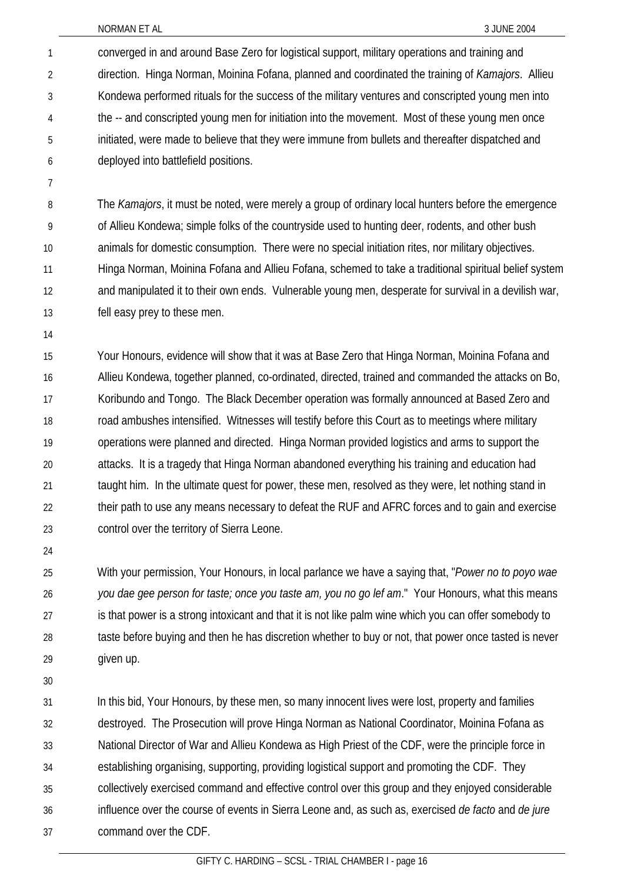converged in and around Base Zero for logistical support, military operations and training and direction. Hinga Norman, Moinina Fofana, planned and coordinated the training of *Kamajors*. Allieu Kondewa performed rituals for the success of the military ventures and conscripted young men into the -- and conscripted young men for initiation into the movement. Most of these young men once initiated, were made to believe that they were immune from bullets and thereafter dispatched and deployed into battlefield positions. 1 2 3 4 5 6

- 8 9 10 11 12 13 The *Kamajors*, it must be noted, were merely a group of ordinary local hunters before the emergence of Allieu Kondewa; simple folks of the countryside used to hunting deer, rodents, and other bush animals for domestic consumption. There were no special initiation rites, nor military objectives. Hinga Norman, Moinina Fofana and Allieu Fofana, schemed to take a traditional spiritual belief system and manipulated it to their own ends. Vulnerable young men, desperate for survival in a devilish war, fell easy prey to these men.
- 14

7

15 16 17 18 19 20 21 22 23 Your Honours, evidence will show that it was at Base Zero that Hinga Norman, Moinina Fofana and Allieu Kondewa, together planned, co-ordinated, directed, trained and commanded the attacks on Bo, Koribundo and Tongo. The Black December operation was formally announced at Based Zero and road ambushes intensified. Witnesses will testify before this Court as to meetings where military operations were planned and directed. Hinga Norman provided logistics and arms to support the attacks. It is a tragedy that Hinga Norman abandoned everything his training and education had taught him. In the ultimate quest for power, these men, resolved as they were, let nothing stand in their path to use any means necessary to defeat the RUF and AFRC forces and to gain and exercise control over the territory of Sierra Leone.

24

25 26 27 28 29 With your permission, Your Honours, in local parlance we have a saying that, "*Power no to poyo wae you dae gee person for taste; once you taste am, you no go lef am*." Your Honours, what this means is that power is a strong intoxicant and that it is not like palm wine which you can offer somebody to taste before buying and then he has discretion whether to buy or not, that power once tasted is never given up.

30

31 32 33 34 35 36 37 In this bid, Your Honours, by these men, so many innocent lives were lost, property and families destroyed. The Prosecution will prove Hinga Norman as National Coordinator, Moinina Fofana as National Director of War and Allieu Kondewa as High Priest of the CDF, were the principle force in establishing organising, supporting, providing logistical support and promoting the CDF. They collectively exercised command and effective control over this group and they enjoyed considerable influence over the course of events in Sierra Leone and, as such as, exercised *de facto* and *de jure* command over the CDF.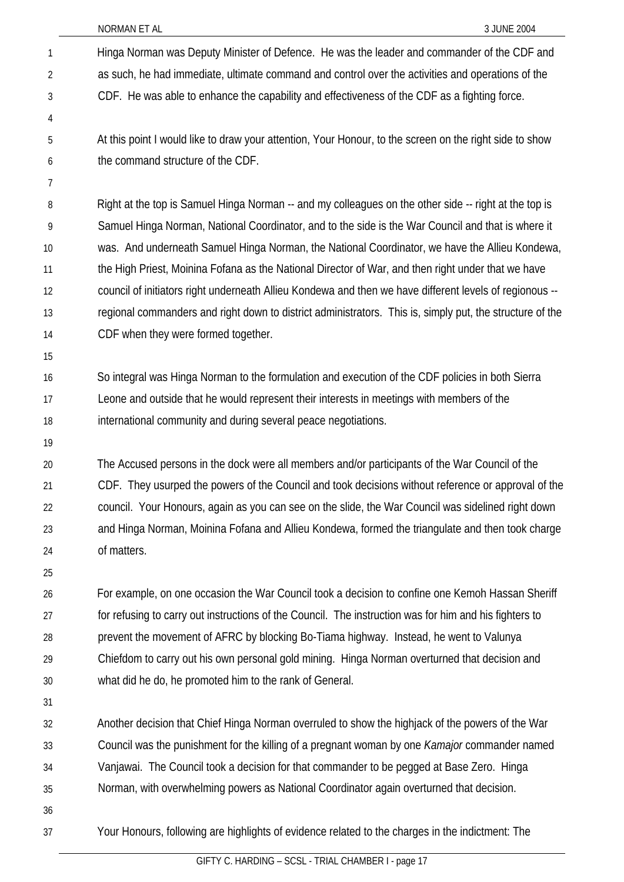| 1              | Hinga Norman was Deputy Minister of Defence. He was the leader and commander of the CDF and              |
|----------------|----------------------------------------------------------------------------------------------------------|
| $\overline{2}$ | as such, he had immediate, ultimate command and control over the activities and operations of the        |
| $\mathfrak{Z}$ | CDF. He was able to enhance the capability and effectiveness of the CDF as a fighting force.             |
| 4              |                                                                                                          |
| 5              | At this point I would like to draw your attention, Your Honour, to the screen on the right side to show  |
| 6              | the command structure of the CDF.                                                                        |
| 7              |                                                                                                          |
| 8              | Right at the top is Samuel Hinga Norman -- and my colleagues on the other side -- right at the top is    |
| 9              | Samuel Hinga Norman, National Coordinator, and to the side is the War Council and that is where it       |
| 10             | was. And underneath Samuel Hinga Norman, the National Coordinator, we have the Allieu Kondewa,           |
| 11             | the High Priest, Moinina Fofana as the National Director of War, and then right under that we have       |
| 12             | council of initiators right underneath Allieu Kondewa and then we have different levels of regionous --  |
| 13             | regional commanders and right down to district administrators. This is, simply put, the structure of the |
| 14             | CDF when they were formed together.                                                                      |
| 15             |                                                                                                          |
| 16             | So integral was Hinga Norman to the formulation and execution of the CDF policies in both Sierra         |
| 17             | Leone and outside that he would represent their interests in meetings with members of the                |
| 18             | international community and during several peace negotiations.                                           |
| 19             |                                                                                                          |
| 20             | The Accused persons in the dock were all members and/or participants of the War Council of the           |
| 21             | CDF. They usurped the powers of the Council and took decisions without reference or approval of the      |
|                |                                                                                                          |
| 22             | council. Your Honours, again as you can see on the slide, the War Council was sidelined right down       |
| 23             | and Hinga Norman, Moinina Fofana and Allieu Kondewa, formed the triangulate and then took charge         |
| 24             | of matters.                                                                                              |
| 25             |                                                                                                          |
| 26             | For example, on one occasion the War Council took a decision to confine one Kemoh Hassan Sheriff         |
| 27             | for refusing to carry out instructions of the Council. The instruction was for him and his fighters to   |
| 28             | prevent the movement of AFRC by blocking Bo-Tiama highway. Instead, he went to Valunya                   |
| 29             | Chiefdom to carry out his own personal gold mining. Hinga Norman overturned that decision and            |
| 30             | what did he do, he promoted him to the rank of General.                                                  |
| 31             |                                                                                                          |
| 32             | Another decision that Chief Hinga Norman overruled to show the highjack of the powers of the War         |
| 33             | Council was the punishment for the killing of a pregnant woman by one <i>Kamajor</i> commander named     |
| 34             | Vanjawai. The Council took a decision for that commander to be pegged at Base Zero. Hinga                |
| 35             | Norman, with overwhelming powers as National Coordinator again overturned that decision.                 |
| 36             |                                                                                                          |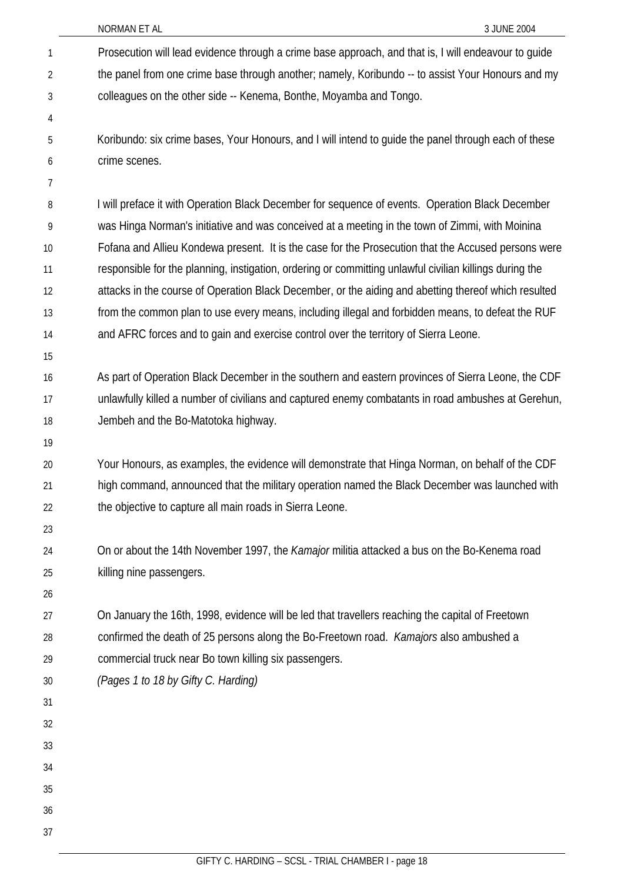| $\mathbf{1}$   | Prosecution will lead evidence through a crime base approach, and that is, I will endeavour to guide    |
|----------------|---------------------------------------------------------------------------------------------------------|
| $\overline{2}$ | the panel from one crime base through another; namely, Koribundo -- to assist Your Honours and my       |
| 3              | colleagues on the other side -- Kenema, Bonthe, Moyamba and Tongo.                                      |
| 4              |                                                                                                         |
| 5              | Koribundo: six crime bases, Your Honours, and I will intend to guide the panel through each of these    |
| 6              | crime scenes.                                                                                           |
| $\overline{7}$ |                                                                                                         |
| 8              | I will preface it with Operation Black December for sequence of events. Operation Black December        |
| 9              | was Hinga Norman's initiative and was conceived at a meeting in the town of Zimmi, with Moinina         |
| $10 \,$        | Fofana and Allieu Kondewa present. It is the case for the Prosecution that the Accused persons were     |
| 11             | responsible for the planning, instigation, ordering or committing unlawful civilian killings during the |
| 12             | attacks in the course of Operation Black December, or the aiding and abetting thereof which resulted    |
| 13             | from the common plan to use every means, including illegal and forbidden means, to defeat the RUF       |
| 14             | and AFRC forces and to gain and exercise control over the territory of Sierra Leone.                    |
| 15             |                                                                                                         |
| 16             | As part of Operation Black December in the southern and eastern provinces of Sierra Leone, the CDF      |
| 17             | unlawfully killed a number of civilians and captured enemy combatants in road ambushes at Gerehun,      |
| 18             | Jembeh and the Bo-Matotoka highway.                                                                     |
| 19             |                                                                                                         |
| 20             | Your Honours, as examples, the evidence will demonstrate that Hinga Norman, on behalf of the CDF        |
| 21             | high command, announced that the military operation named the Black December was launched with          |
| 22             | the objective to capture all main roads in Sierra Leone.                                                |
| 23             |                                                                                                         |
| 24             | On or about the 14th November 1997, the <i>Kamajor</i> militia attacked a bus on the Bo-Kenema road     |
| 25             | killing nine passengers.                                                                                |
| 26             |                                                                                                         |
| 27             | On January the 16th, 1998, evidence will be led that travellers reaching the capital of Freetown        |
| 28             | confirmed the death of 25 persons along the Bo-Freetown road. Kamajors also ambushed a                  |
| 29             | commercial truck near Bo town killing six passengers.                                                   |
| 30             | (Pages 1 to 18 by Gifty C. Harding)                                                                     |
| 31             |                                                                                                         |
| 32             |                                                                                                         |
| 33             |                                                                                                         |
| 34             |                                                                                                         |
| 35             |                                                                                                         |
| 36             |                                                                                                         |
| 37             |                                                                                                         |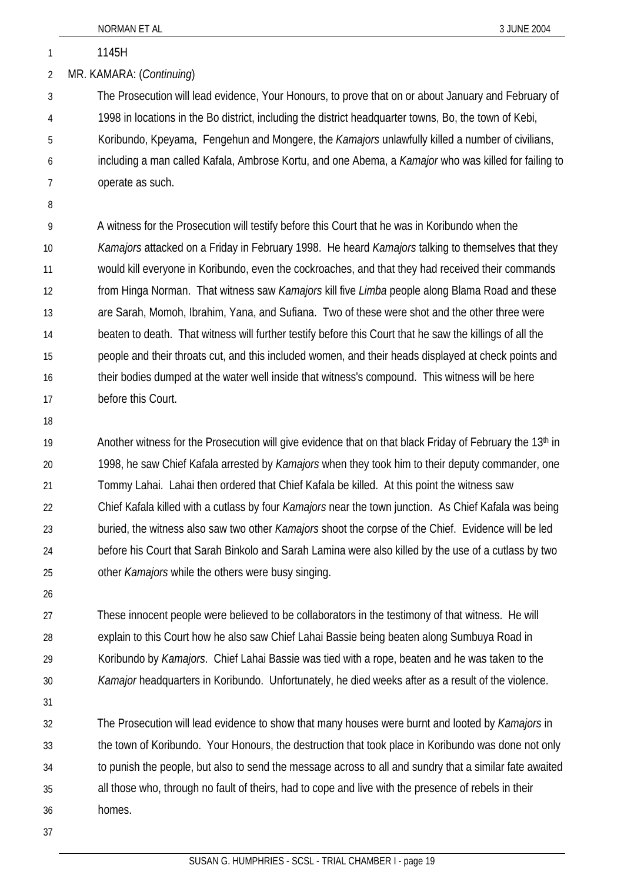1 1145H

2 MR. KAMARA: (*Continuing*)

3 4 5 6 7 The Prosecution will lead evidence, Your Honours, to prove that on or about January and February of 1998 in locations in the Bo district, including the district headquarter towns, Bo, the town of Kebi, Koribundo, Kpeyama, Fengehun and Mongere, the *Kamajors* unlawfully killed a number of civilians, including a man called Kafala, Ambrose Kortu, and one Abema, a *Kamajor* who was killed for failing to operate as such.

8

9 10 11 12 13 14 15 16 17 A witness for the Prosecution will testify before this Court that he was in Koribundo when the *Kamajors* attacked on a Friday in February 1998. He heard *Kamajors* talking to themselves that they would kill everyone in Koribundo, even the cockroaches, and that they had received their commands from Hinga Norman. That witness saw *Kamajors* kill five *Limba* people along Blama Road and these are Sarah, Momoh, Ibrahim, Yana, and Sufiana. Two of these were shot and the other three were beaten to death. That witness will further testify before this Court that he saw the killings of all the people and their throats cut, and this included women, and their heads displayed at check points and their bodies dumped at the water well inside that witness's compound. This witness will be here before this Court.

18

19 20 21 22 23 24 25 Another witness for the Prosecution will give evidence that on that black Friday of February the 13<sup>th</sup> in 1998, he saw Chief Kafala arrested by *Kamajors* when they took him to their deputy commander, one Tommy Lahai. Lahai then ordered that Chief Kafala be killed. At this point the witness saw Chief Kafala killed with a cutlass by four *Kamajors* near the town junction. As Chief Kafala was being buried, the witness also saw two other *Kamajors* shoot the corpse of the Chief. Evidence will be led before his Court that Sarah Binkolo and Sarah Lamina were also killed by the use of a cutlass by two other *Kamajors* while the others were busy singing.

26

27 28 29 30 These innocent people were believed to be collaborators in the testimony of that witness. He will explain to this Court how he also saw Chief Lahai Bassie being beaten along Sumbuya Road in Koribundo by *Kamajors*. Chief Lahai Bassie was tied with a rope, beaten and he was taken to the *Kamajor* headquarters in Koribundo. Unfortunately, he died weeks after as a result of the violence.

31

32 33 34 35 36 The Prosecution will lead evidence to show that many houses were burnt and looted by *Kamajors* in the town of Koribundo. Your Honours, the destruction that took place in Koribundo was done not only to punish the people, but also to send the message across to all and sundry that a similar fate awaited all those who, through no fault of theirs, had to cope and live with the presence of rebels in their homes.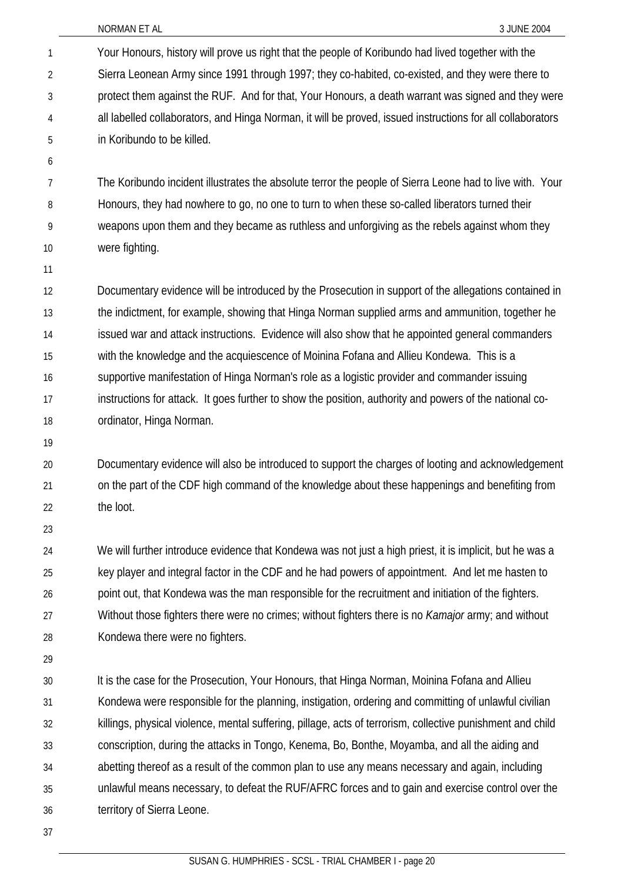Your Honours, history will prove us right that the people of Koribundo had lived together with the Sierra Leonean Army since 1991 through 1997; they co-habited, co-existed, and they were there to protect them against the RUF. And for that, Your Honours, a death warrant was signed and they were all labelled collaborators, and Hinga Norman, it will be proved, issued instructions for all collaborators in Koribundo to be killed. 1 2 3 4 5

- 7 8 9 10 The Koribundo incident illustrates the absolute terror the people of Sierra Leone had to live with. Your Honours, they had nowhere to go, no one to turn to when these so-called liberators turned their weapons upon them and they became as ruthless and unforgiving as the rebels against whom they were fighting.
- 11

6

12 13 14 15 16 17 18 Documentary evidence will be introduced by the Prosecution in support of the allegations contained in the indictment, for example, showing that Hinga Norman supplied arms and ammunition, together he issued war and attack instructions. Evidence will also show that he appointed general commanders with the knowledge and the acquiescence of Moinina Fofana and Allieu Kondewa. This is a supportive manifestation of Hinga Norman's role as a logistic provider and commander issuing instructions for attack. It goes further to show the position, authority and powers of the national coordinator, Hinga Norman.

19

20 21 22 Documentary evidence will also be introduced to support the charges of looting and acknowledgement on the part of the CDF high command of the knowledge about these happenings and benefiting from the loot.

23

24 25 26 27 28 We will further introduce evidence that Kondewa was not just a high priest, it is implicit, but he was a key player and integral factor in the CDF and he had powers of appointment. And let me hasten to point out, that Kondewa was the man responsible for the recruitment and initiation of the fighters. Without those fighters there were no crimes; without fighters there is no *Kamajor* army; and without Kondewa there were no fighters.

29

30 31 32 33 34 35 36 It is the case for the Prosecution, Your Honours, that Hinga Norman, Moinina Fofana and Allieu Kondewa were responsible for the planning, instigation, ordering and committing of unlawful civilian killings, physical violence, mental suffering, pillage, acts of terrorism, collective punishment and child conscription, during the attacks in Tongo, Kenema, Bo, Bonthe, Moyamba, and all the aiding and abetting thereof as a result of the common plan to use any means necessary and again, including unlawful means necessary, to defeat the RUF/AFRC forces and to gain and exercise control over the territory of Sierra Leone.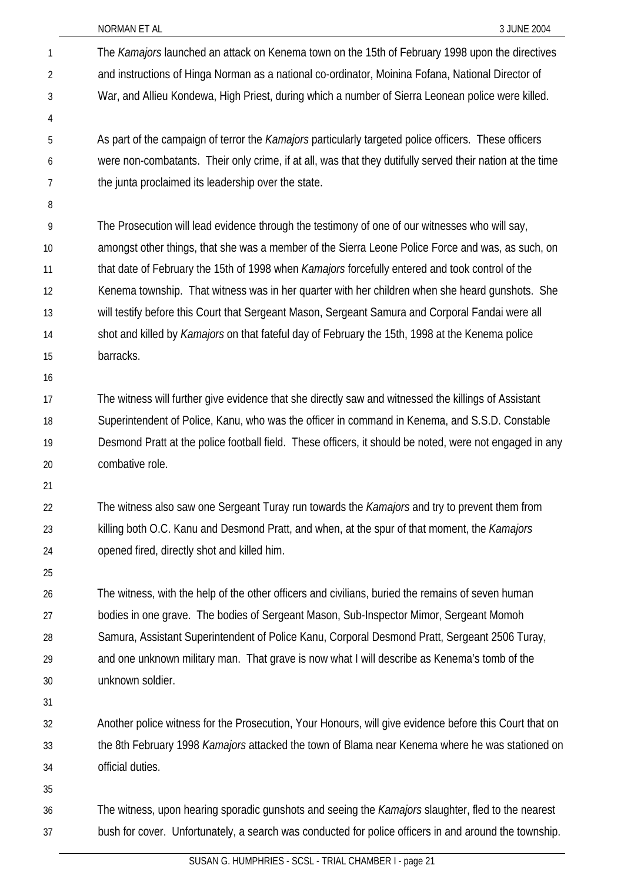The *Kamajors* launched an attack on Kenema town on the 15th of February 1998 upon the directives and instructions of Hinga Norman as a national co-ordinator, Moinina Fofana, National Director of War, and Allieu Kondewa, High Priest, during which a number of Sierra Leonean police were killed. 1 2 3 4 5 6 7 8 9 10 11 12 13 14 15 16 17 18 19 20 21 22 23 24 25 26 27 28 29 30 31 32 33 34 35 36 As part of the campaign of terror the *Kamajors* particularly targeted police officers. These officers were non-combatants. Their only crime, if at all, was that they dutifully served their nation at the time the junta proclaimed its leadership over the state. The Prosecution will lead evidence through the testimony of one of our witnesses who will say, amongst other things, that she was a member of the Sierra Leone Police Force and was, as such, on that date of February the 15th of 1998 when *Kamajors* forcefully entered and took control of the Kenema township. That witness was in her quarter with her children when she heard gunshots. She will testify before this Court that Sergeant Mason, Sergeant Samura and Corporal Fandai were all shot and killed by *Kamajors* on that fateful day of February the 15th, 1998 at the Kenema police barracks. The witness will further give evidence that she directly saw and witnessed the killings of Assistant Superintendent of Police, Kanu, who was the officer in command in Kenema, and S.S.D. Constable Desmond Pratt at the police football field. These officers, it should be noted, were not engaged in any combative role. The witness also saw one Sergeant Turay run towards the *Kamajors* and try to prevent them from killing both O.C. Kanu and Desmond Pratt, and when, at the spur of that moment, the *Kamajors* opened fired, directly shot and killed him. The witness, with the help of the other officers and civilians, buried the remains of seven human bodies in one grave. The bodies of Sergeant Mason, Sub-Inspector Mimor, Sergeant Momoh Samura, Assistant Superintendent of Police Kanu, Corporal Desmond Pratt, Sergeant 2506 Turay, and one unknown military man. That grave is now what I will describe as Kenema's tomb of the unknown soldier. Another police witness for the Prosecution, Your Honours, will give evidence before this Court that on the 8th February 1998 *Kamajors* attacked the town of Blama near Kenema where he was stationed on official duties. The witness, upon hearing sporadic gunshots and seeing the *Kamajors* slaughter, fled to the nearest

37 bush for cover. Unfortunately, a search was conducted for police officers in and around the township.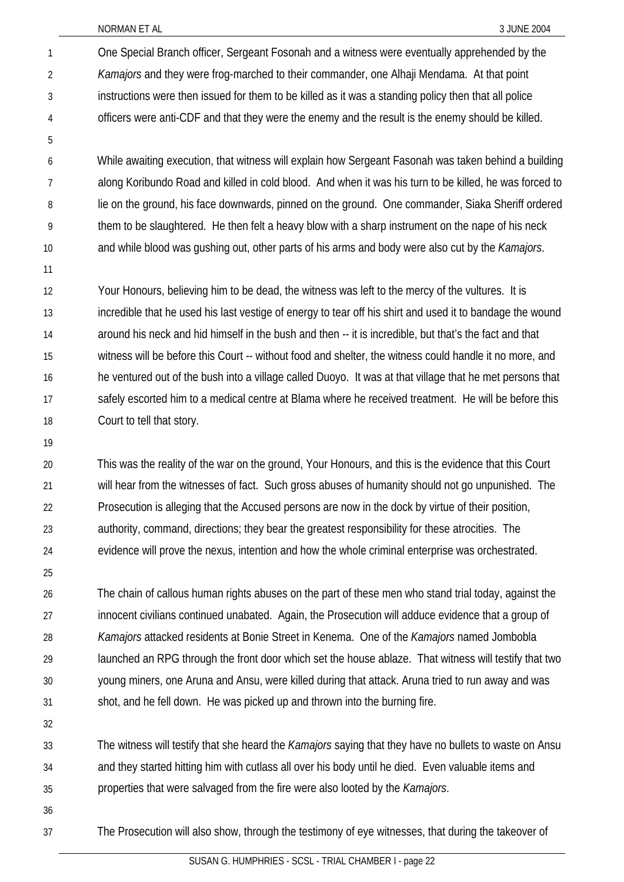One Special Branch officer, Sergeant Fosonah and a witness were eventually apprehended by the *Kamajors* and they were frog-marched to their commander, one Alhaji Mendama. At that point instructions were then issued for them to be killed as it was a standing policy then that all police officers were anti-CDF and that they were the enemy and the result is the enemy should be killed. 1 2 3 4

6 7 8 9 10 While awaiting execution, that witness will explain how Sergeant Fasonah was taken behind a building along Koribundo Road and killed in cold blood. And when it was his turn to be killed, he was forced to lie on the ground, his face downwards, pinned on the ground. One commander, Siaka Sheriff ordered them to be slaughtered. He then felt a heavy blow with a sharp instrument on the nape of his neck and while blood was gushing out, other parts of his arms and body were also cut by the *Kamajors*.

11

5

12 13 14 15 16 17 18 Your Honours, believing him to be dead, the witness was left to the mercy of the vultures. It is incredible that he used his last vestige of energy to tear off his shirt and used it to bandage the wound around his neck and hid himself in the bush and then -- it is incredible, but that's the fact and that witness will be before this Court -- without food and shelter, the witness could handle it no more, and he ventured out of the bush into a village called Duoyo. It was at that village that he met persons that safely escorted him to a medical centre at Blama where he received treatment. He will be before this Court to tell that story.

19

20 21 22 23 24 This was the reality of the war on the ground, Your Honours, and this is the evidence that this Court will hear from the witnesses of fact. Such gross abuses of humanity should not go unpunished. The Prosecution is alleging that the Accused persons are now in the dock by virtue of their position, authority, command, directions; they bear the greatest responsibility for these atrocities. The evidence will prove the nexus, intention and how the whole criminal enterprise was orchestrated.

25

26 27 28 29 30 31 The chain of callous human rights abuses on the part of these men who stand trial today, against the innocent civilians continued unabated. Again, the Prosecution will adduce evidence that a group of *Kamajors* attacked residents at Bonie Street in Kenema. One of the *Kamajors* named Jombobla launched an RPG through the front door which set the house ablaze. That witness will testify that two young miners, one Aruna and Ansu, were killed during that attack. Aruna tried to run away and was shot, and he fell down. He was picked up and thrown into the burning fire.

32

33 34 35 The witness will testify that she heard the *Kamajors* saying that they have no bullets to waste on Ansu and they started hitting him with cutlass all over his body until he died. Even valuable items and properties that were salvaged from the fire were also looted by the *Kamajors*.

36

37 The Prosecution will also show, through the testimony of eye witnesses, that during the takeover of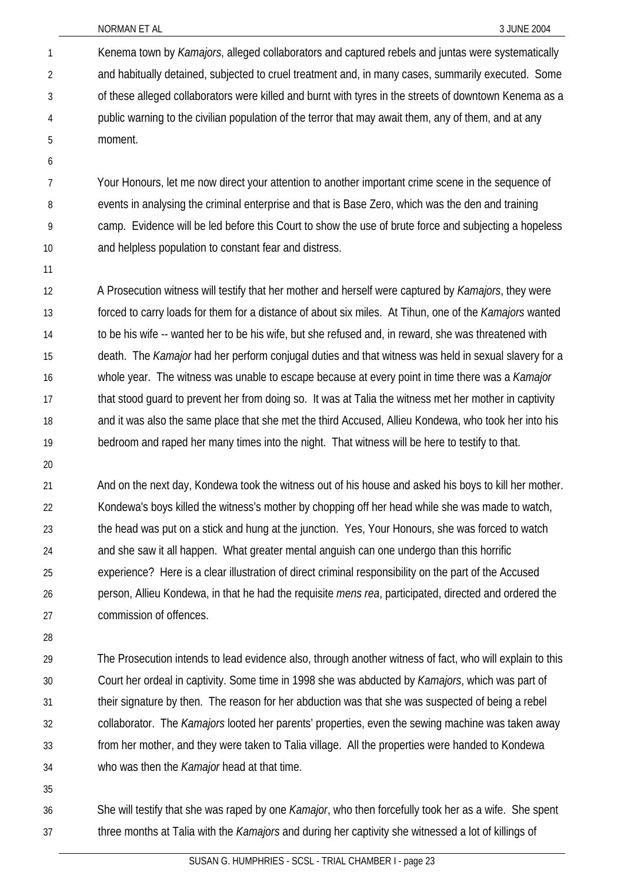Kenema town by *Kamajors*, alleged collaborators and captured rebels and juntas were systematically and habitually detained, subjected to cruel treatment and, in many cases, summarily executed. Some of these alleged collaborators were killed and burnt with tyres in the streets of downtown Kenema as a public warning to the civilian population of the terror that may await them, any of them, and at any moment. 1 2 3 4 5

7 8 9 10 Your Honours, let me now direct your attention to another important crime scene in the sequence of events in analysing the criminal enterprise and that is Base Zero, which was the den and training camp. Evidence will be led before this Court to show the use of brute force and subjecting a hopeless and helpless population to constant fear and distress.

11

6

12 13 14 15 16 17 18 19 A Prosecution witness will testify that her mother and herself were captured by *Kamajors*, they were forced to carry loads for them for a distance of about six miles. At Tihun, one of the *Kamajors* wanted to be his wife -- wanted her to be his wife, but she refused and, in reward, she was threatened with death. The *Kamajor* had her perform conjugal duties and that witness was held in sexual slavery for a whole year. The witness was unable to escape because at every point in time there was a *Kamajor* that stood guard to prevent her from doing so. It was at Talia the witness met her mother in captivity and it was also the same place that she met the third Accused, Allieu Kondewa, who took her into his bedroom and raped her many times into the night. That witness will be here to testify to that.

20

21 22 23 24 25 26 27 And on the next day, Kondewa took the witness out of his house and asked his boys to kill her mother. Kondewa's boys killed the witness's mother by chopping off her head while she was made to watch, the head was put on a stick and hung at the junction. Yes, Your Honours, she was forced to watch and she saw it all happen. What greater mental anguish can one undergo than this horrific experience? Here is a clear illustration of direct criminal responsibility on the part of the Accused person, Allieu Kondewa, in that he had the requisite *mens rea*, participated, directed and ordered the commission of offences.

28

29 30 31 32 33 34 The Prosecution intends to lead evidence also, through another witness of fact, who will explain to this Court her ordeal in captivity. Some time in 1998 she was abducted by *Kamajors*, which was part of their signature by then. The reason for her abduction was that she was suspected of being a rebel collaborator. The *Kamajors* looted her parents' properties, even the sewing machine was taken away from her mother, and they were taken to Talia village. All the properties were handed to Kondewa who was then the *Kamajor* head at that time.

35

36 37 She will testify that she was raped by one *Kamajor*, who then forcefully took her as a wife. She spent three months at Talia with the *Kamajors* and during her captivity she witnessed a lot of killings of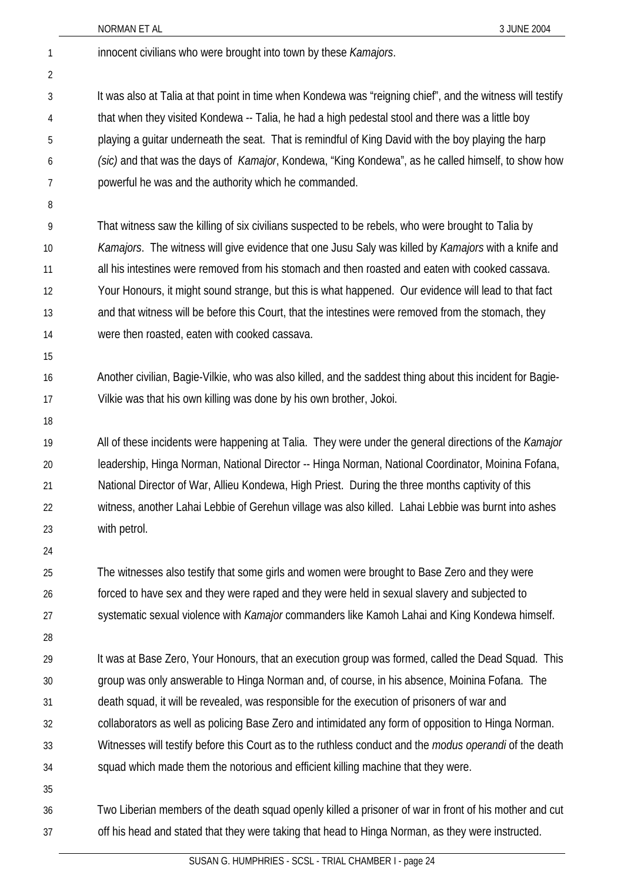|                | 3 JUNE 2004<br>NORMAN ET AL                                                                                    |
|----------------|----------------------------------------------------------------------------------------------------------------|
| $\mathbf{1}$   | innocent civilians who were brought into town by these Kamajors.                                               |
| $\overline{2}$ |                                                                                                                |
| 3              | It was also at Talia at that point in time when Kondewa was "reigning chief", and the witness will testify     |
| 4              | that when they visited Kondewa -- Talia, he had a high pedestal stool and there was a little boy               |
| 5              | playing a guitar underneath the seat. That is remindful of King David with the boy playing the harp            |
| 6              | (sic) and that was the days of <i>Kamajor</i> , Kondewa, "King Kondewa", as he called himself, to show how     |
| 7              | powerful he was and the authority which he commanded.                                                          |
| 8              |                                                                                                                |
| 9              | That witness saw the killing of six civilians suspected to be rebels, who were brought to Talia by             |
| 10             | Kamajors. The witness will give evidence that one Jusu Saly was killed by Kamajors with a knife and            |
| 11             | all his intestines were removed from his stomach and then roasted and eaten with cooked cassava.               |
| 12             | Your Honours, it might sound strange, but this is what happened. Our evidence will lead to that fact           |
| 13             | and that witness will be before this Court, that the intestines were removed from the stomach, they            |
| 14             | were then roasted, eaten with cooked cassava.                                                                  |
| 15             |                                                                                                                |
| 16             | Another civilian, Bagie-Vilkie, who was also killed, and the saddest thing about this incident for Bagie-      |
| 17             | Vilkie was that his own killing was done by his own brother, Jokoi.                                            |
| 18             |                                                                                                                |
| 19             | All of these incidents were happening at Talia. They were under the general directions of the Kamajor          |
| 20             | leadership, Hinga Norman, National Director -- Hinga Norman, National Coordinator, Moinina Fofana,             |
| 21             | National Director of War, Allieu Kondewa, High Priest. During the three months captivity of this               |
| 22             | witness, another Lahai Lebbie of Gerehun village was also killed. Lahai Lebbie was burnt into ashes            |
| 23             | with petrol.                                                                                                   |
| 24             |                                                                                                                |
| 25             | The witnesses also testify that some girls and women were brought to Base Zero and they were                   |
| 26             | forced to have sex and they were raped and they were held in sexual slavery and subjected to                   |
| 27             | systematic sexual violence with <i>Kamajor</i> commanders like Kamoh Lahai and King Kondewa himself.           |
| 28             |                                                                                                                |
| 29             | It was at Base Zero, Your Honours, that an execution group was formed, called the Dead Squad. This             |
| 30             | group was only answerable to Hinga Norman and, of course, in his absence, Moinina Fofana. The                  |
| 31             | death squad, it will be revealed, was responsible for the execution of prisoners of war and                    |
| 32             | collaborators as well as policing Base Zero and intimidated any form of opposition to Hinga Norman.            |
| 33             | Witnesses will testify before this Court as to the ruthless conduct and the <i>modus operandi</i> of the death |
| 34             | squad which made them the notorious and efficient killing machine that they were.                              |
| 35             |                                                                                                                |
| 36             | Two Liberian members of the death squad openly killed a prisoner of war in front of his mother and cut         |
| 37             | off his head and stated that they were taking that head to Hinga Norman, as they were instructed.              |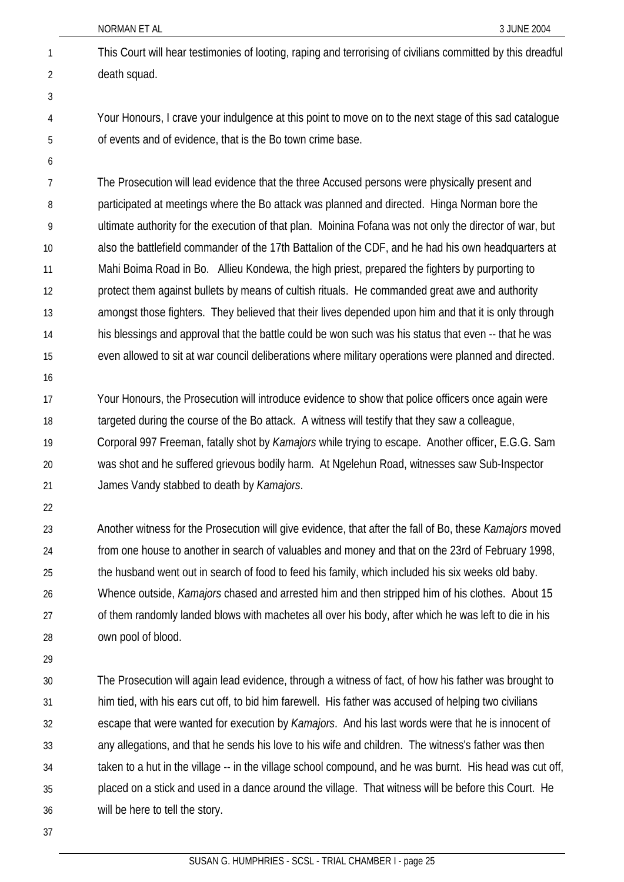- This Court will hear testimonies of looting, raping and terrorising of civilians committed by this dreadful death squad. 1 2 3
	- Your Honours, I crave your indulgence at this point to move on to the next stage of this sad catalogue of events and of evidence, that is the Bo town crime base.
- 7 8 9 10 11 12 13 14 15 The Prosecution will lead evidence that the three Accused persons were physically present and participated at meetings where the Bo attack was planned and directed. Hinga Norman bore the ultimate authority for the execution of that plan. Moinina Fofana was not only the director of war, but also the battlefield commander of the 17th Battalion of the CDF, and he had his own headquarters at Mahi Boima Road in Bo. Allieu Kondewa, the high priest, prepared the fighters by purporting to protect them against bullets by means of cultish rituals. He commanded great awe and authority amongst those fighters. They believed that their lives depended upon him and that it is only through his blessings and approval that the battle could be won such was his status that even -- that he was even allowed to sit at war council deliberations where military operations were planned and directed.
- 16

5

6

17 18 19 20 21 Your Honours, the Prosecution will introduce evidence to show that police officers once again were targeted during the course of the Bo attack. A witness will testify that they saw a colleague, Corporal 997 Freeman, fatally shot by *Kamajors* while trying to escape. Another officer, E.G.G. Sam was shot and he suffered grievous bodily harm. At Ngelehun Road, witnesses saw Sub-Inspector James Vandy stabbed to death by *Kamajors*.

22

23 24 25 26 27 28 Another witness for the Prosecution will give evidence, that after the fall of Bo, these *Kamajors* moved from one house to another in search of valuables and money and that on the 23rd of February 1998, the husband went out in search of food to feed his family, which included his six weeks old baby. Whence outside, *Kamajors* chased and arrested him and then stripped him of his clothes. About 15 of them randomly landed blows with machetes all over his body, after which he was left to die in his own pool of blood.

29

30 31 32 33 34 35 36 The Prosecution will again lead evidence, through a witness of fact, of how his father was brought to him tied, with his ears cut off, to bid him farewell. His father was accused of helping two civilians escape that were wanted for execution by *Kamajors*. And his last words were that he is innocent of any allegations, and that he sends his love to his wife and children. The witness's father was then taken to a hut in the village -- in the village school compound, and he was burnt. His head was cut off, placed on a stick and used in a dance around the village. That witness will be before this Court. He will be here to tell the story.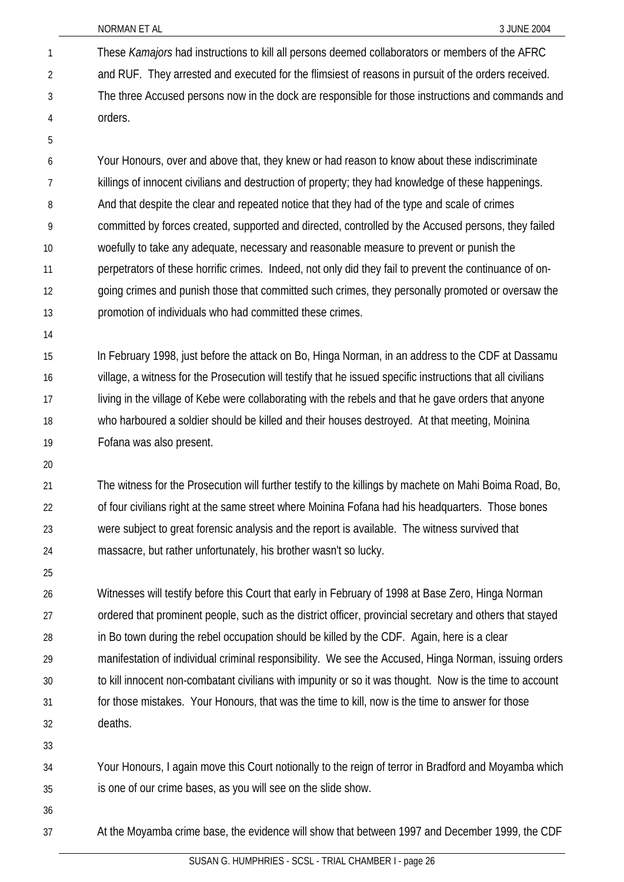- These *Kamajors* had instructions to kill all persons deemed collaborators or members of the AFRC and RUF. They arrested and executed for the flimsiest of reasons in pursuit of the orders received. The three Accused persons now in the dock are responsible for those instructions and commands and orders. 1 2 3 4
- 6 7 8 9 10 11 12 13 Your Honours, over and above that, they knew or had reason to know about these indiscriminate killings of innocent civilians and destruction of property; they had knowledge of these happenings. And that despite the clear and repeated notice that they had of the type and scale of crimes committed by forces created, supported and directed, controlled by the Accused persons, they failed woefully to take any adequate, necessary and reasonable measure to prevent or punish the perpetrators of these horrific crimes. Indeed, not only did they fail to prevent the continuance of ongoing crimes and punish those that committed such crimes, they personally promoted or oversaw the promotion of individuals who had committed these crimes.
- 14

15 16 17 18 19 In February 1998, just before the attack on Bo, Hinga Norman, in an address to the CDF at Dassamu village, a witness for the Prosecution will testify that he issued specific instructions that all civilians living in the village of Kebe were collaborating with the rebels and that he gave orders that anyone who harboured a soldier should be killed and their houses destroyed. At that meeting, Moinina Fofana was also present.

20

21 22 23 24 The witness for the Prosecution will further testify to the killings by machete on Mahi Boima Road, Bo, of four civilians right at the same street where Moinina Fofana had his headquarters. Those bones were subject to great forensic analysis and the report is available. The witness survived that massacre, but rather unfortunately, his brother wasn't so lucky.

25

26 27 28 29 30 31 32 Witnesses will testify before this Court that early in February of 1998 at Base Zero, Hinga Norman ordered that prominent people, such as the district officer, provincial secretary and others that stayed in Bo town during the rebel occupation should be killed by the CDF. Again, here is a clear manifestation of individual criminal responsibility. We see the Accused, Hinga Norman, issuing orders to kill innocent non-combatant civilians with impunity or so it was thought. Now is the time to account for those mistakes. Your Honours, that was the time to kill, now is the time to answer for those deaths.

33

34 35 Your Honours, I again move this Court notionally to the reign of terror in Bradford and Moyamba which is one of our crime bases, as you will see on the slide show.

36

37 At the Moyamba crime base, the evidence will show that between 1997 and December 1999, the CDF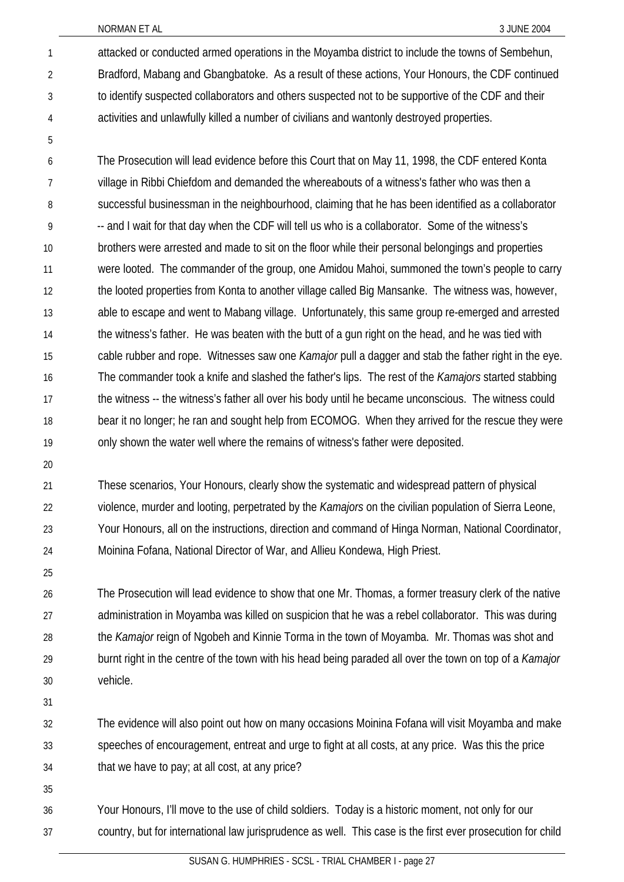- attacked or conducted armed operations in the Moyamba district to include the towns of Sembehun, Bradford, Mabang and Gbangbatoke. As a result of these actions, Your Honours, the CDF continued to identify suspected collaborators and others suspected not to be supportive of the CDF and their activities and unlawfully killed a number of civilians and wantonly destroyed properties. 1 2 3 4
- 6 7 8 9 10 11 12 13 14 15 16 17 18 19 The Prosecution will lead evidence before this Court that on May 11, 1998, the CDF entered Konta village in Ribbi Chiefdom and demanded the whereabouts of a witness's father who was then a successful businessman in the neighbourhood, claiming that he has been identified as a collaborator -- and I wait for that day when the CDF will tell us who is a collaborator. Some of the witness's brothers were arrested and made to sit on the floor while their personal belongings and properties were looted. The commander of the group, one Amidou Mahoi, summoned the town's people to carry the looted properties from Konta to another village called Big Mansanke. The witness was, however, able to escape and went to Mabang village. Unfortunately, this same group re-emerged and arrested the witness's father. He was beaten with the butt of a gun right on the head, and he was tied with cable rubber and rope. Witnesses saw one *Kamajor* pull a dagger and stab the father right in the eye. The commander took a knife and slashed the father's lips. The rest of the *Kamajors* started stabbing the witness -- the witness's father all over his body until he became unconscious. The witness could bear it no longer; he ran and sought help from ECOMOG. When they arrived for the rescue they were only shown the water well where the remains of witness's father were deposited.
- 20

5

21 22 23 24 These scenarios, Your Honours, clearly show the systematic and widespread pattern of physical violence, murder and looting, perpetrated by the *Kamajors* on the civilian population of Sierra Leone, Your Honours, all on the instructions, direction and command of Hinga Norman, National Coordinator, Moinina Fofana, National Director of War, and Allieu Kondewa, High Priest.

25

26 27 28 29 30 The Prosecution will lead evidence to show that one Mr. Thomas, a former treasury clerk of the native administration in Moyamba was killed on suspicion that he was a rebel collaborator. This was during the *Kamajor* reign of Ngobeh and Kinnie Torma in the town of Moyamba. Mr. Thomas was shot and burnt right in the centre of the town with his head being paraded all over the town on top of a *Kamajor* vehicle.

31

32 33 34 The evidence will also point out how on many occasions Moinina Fofana will visit Moyamba and make speeches of encouragement, entreat and urge to fight at all costs, at any price. Was this the price that we have to pay; at all cost, at any price?

35

36 37 Your Honours, I'll move to the use of child soldiers. Today is a historic moment, not only for our country, but for international law jurisprudence as well. This case is the first ever prosecution for child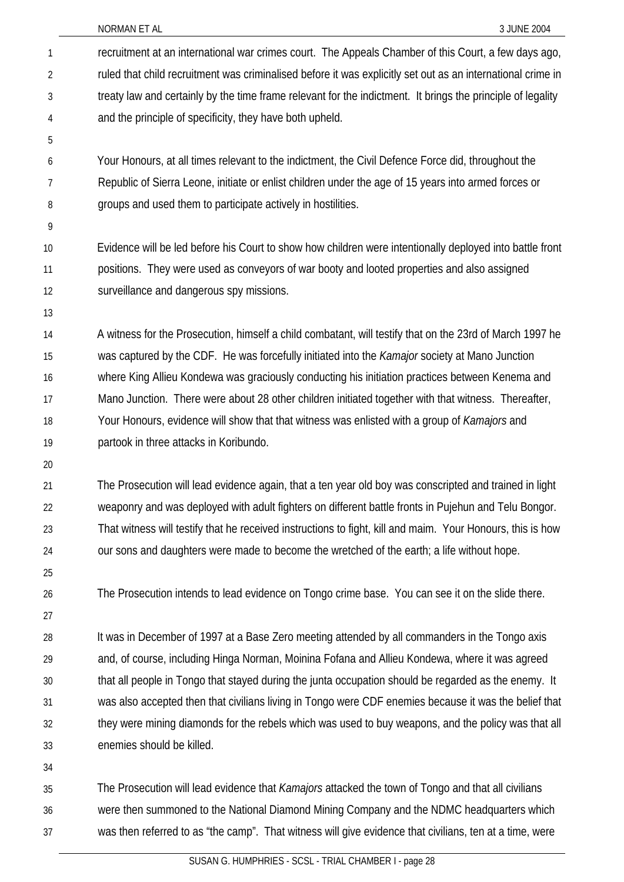| 1  | recruitment at an international war crimes court. The Appeals Chamber of this Court, a few days ago,        |
|----|-------------------------------------------------------------------------------------------------------------|
| 2  | ruled that child recruitment was criminalised before it was explicitly set out as an international crime in |
| 3  | treaty law and certainly by the time frame relevant for the indictment. It brings the principle of legality |
| 4  | and the principle of specificity, they have both upheld.                                                    |
| 5  |                                                                                                             |
| 6  | Your Honours, at all times relevant to the indictment, the Civil Defence Force did, throughout the          |
| 7  | Republic of Sierra Leone, initiate or enlist children under the age of 15 years into armed forces or        |
| 8  | groups and used them to participate actively in hostilities.                                                |
| 9  |                                                                                                             |
| 10 | Evidence will be led before his Court to show how children were intentionally deployed into battle front    |
| 11 | positions. They were used as conveyors of war booty and looted properties and also assigned                 |
| 12 | surveillance and dangerous spy missions.                                                                    |
| 13 |                                                                                                             |
| 14 | A witness for the Prosecution, himself a child combatant, will testify that on the 23rd of March 1997 he    |
| 15 | was captured by the CDF. He was forcefully initiated into the Kamajor society at Mano Junction              |
| 16 | where King Allieu Kondewa was graciously conducting his initiation practices between Kenema and             |
| 17 | Mano Junction. There were about 28 other children initiated together with that witness. Thereafter,         |
| 18 | Your Honours, evidence will show that that witness was enlisted with a group of <i>Kamajors</i> and         |
| 19 | partook in three attacks in Koribundo.                                                                      |
| 20 |                                                                                                             |
| 21 | The Prosecution will lead evidence again, that a ten year old boy was conscripted and trained in light      |
| 22 | weaponry and was deployed with adult fighters on different battle fronts in Pujehun and Telu Bongor.        |
| 23 | That witness will testify that he received instructions to fight, kill and maim. Your Honours, this is how  |
| 24 | our sons and daughters were made to become the wretched of the earth; a life without hope.                  |
| 25 |                                                                                                             |
| 26 | The Prosecution intends to lead evidence on Tongo crime base. You can see it on the slide there.            |
| 27 |                                                                                                             |
| 28 | It was in December of 1997 at a Base Zero meeting attended by all commanders in the Tongo axis              |
| 29 | and, of course, including Hinga Norman, Moinina Fofana and Allieu Kondewa, where it was agreed              |
| 30 | that all people in Tongo that stayed during the junta occupation should be regarded as the enemy. It        |
| 31 | was also accepted then that civilians living in Tongo were CDF enemies because it was the belief that       |
| 32 | they were mining diamonds for the rebels which was used to buy weapons, and the policy was that all         |
| 33 | enemies should be killed.                                                                                   |
| 34 |                                                                                                             |
| 35 | The Prosecution will lead evidence that <i>Kamajors</i> attacked the town of Tongo and that all civilians   |

36 37 were then summoned to the National Diamond Mining Company and the NDMC headquarters which was then referred to as "the camp". That witness will give evidence that civilians, ten at a time, were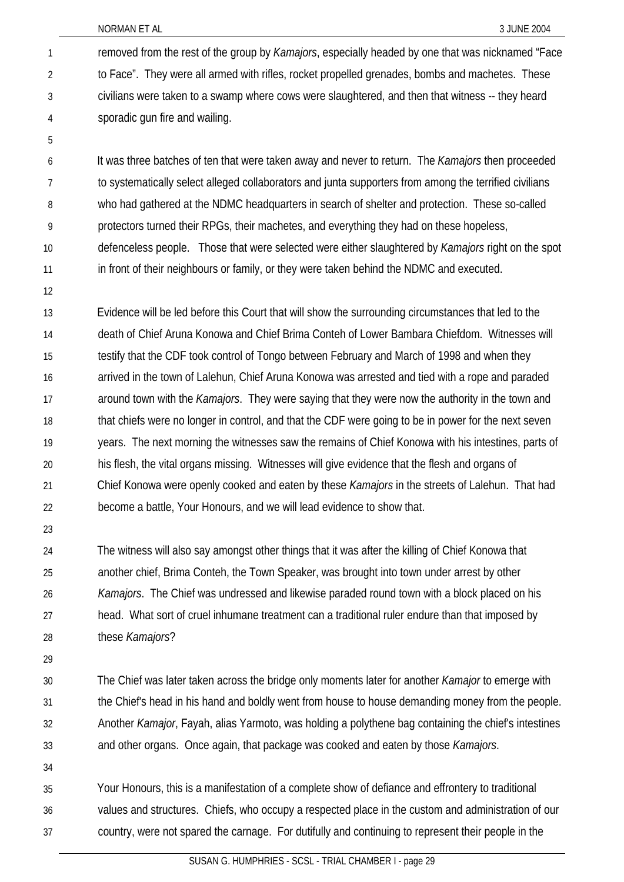- removed from the rest of the group by *Kamajors*, especially headed by one that was nicknamed "Face to Face". They were all armed with rifles, rocket propelled grenades, bombs and machetes. These civilians were taken to a swamp where cows were slaughtered, and then that witness -- they heard sporadic gun fire and wailing. 1 2 3 4
- 6 7 8 9 10 11 It was three batches of ten that were taken away and never to return. The *Kamajors* then proceeded to systematically select alleged collaborators and junta supporters from among the terrified civilians who had gathered at the NDMC headquarters in search of shelter and protection. These so-called protectors turned their RPGs, their machetes, and everything they had on these hopeless, defenceless people. Those that were selected were either slaughtered by *Kamajors* right on the spot in front of their neighbours or family, or they were taken behind the NDMC and executed.
- 12

13 14 15 16 17 18 19 20 21 22 Evidence will be led before this Court that will show the surrounding circumstances that led to the death of Chief Aruna Konowa and Chief Brima Conteh of Lower Bambara Chiefdom. Witnesses will testify that the CDF took control of Tongo between February and March of 1998 and when they arrived in the town of Lalehun, Chief Aruna Konowa was arrested and tied with a rope and paraded around town with the *Kamajors*. They were saying that they were now the authority in the town and that chiefs were no longer in control, and that the CDF were going to be in power for the next seven years. The next morning the witnesses saw the remains of Chief Konowa with his intestines, parts of his flesh, the vital organs missing. Witnesses will give evidence that the flesh and organs of Chief Konowa were openly cooked and eaten by these *Kamajors* in the streets of Lalehun. That had become a battle, Your Honours, and we will lead evidence to show that.

23

24 25 26 27 28 The witness will also say amongst other things that it was after the killing of Chief Konowa that another chief, Brima Conteh, the Town Speaker, was brought into town under arrest by other *Kamajors*. The Chief was undressed and likewise paraded round town with a block placed on his head. What sort of cruel inhumane treatment can a traditional ruler endure than that imposed by these *Kamajors*?

29

30 31 32 33 The Chief was later taken across the bridge only moments later for another *Kamajor* to emerge with the Chief's head in his hand and boldly went from house to house demanding money from the people. Another *Kamajor*, Fayah, alias Yarmoto, was holding a polythene bag containing the chief's intestines and other organs. Once again, that package was cooked and eaten by those *Kamajors*.

34

35 36 37 Your Honours, this is a manifestation of a complete show of defiance and effrontery to traditional values and structures. Chiefs, who occupy a respected place in the custom and administration of our country, were not spared the carnage. For dutifully and continuing to represent their people in the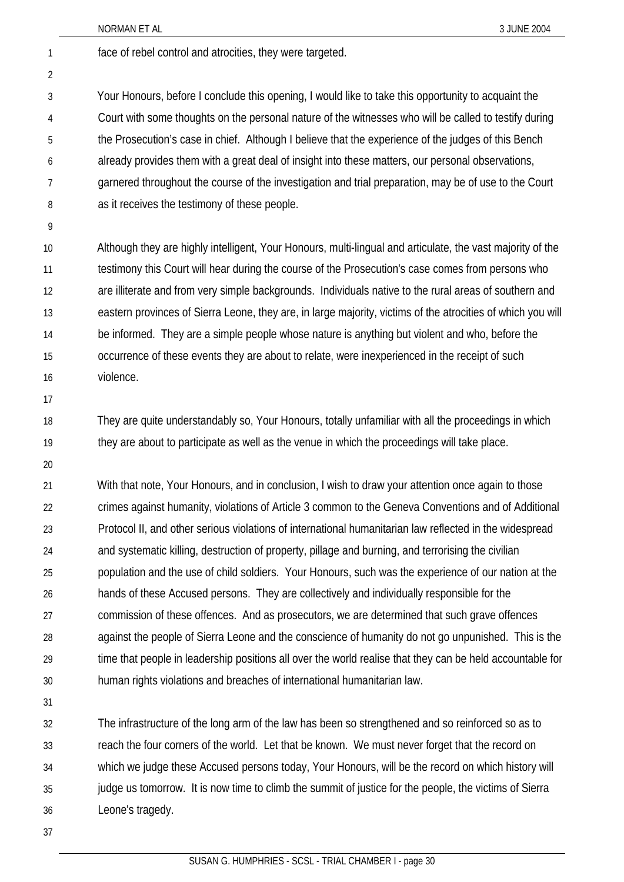|                | NORMAN ET AL<br>3 JUNE 2004                                                                                 |
|----------------|-------------------------------------------------------------------------------------------------------------|
| 1              | face of rebel control and atrocities, they were targeted.                                                   |
| $\overline{2}$ |                                                                                                             |
| 3              | Your Honours, before I conclude this opening, I would like to take this opportunity to acquaint the         |
| 4              | Court with some thoughts on the personal nature of the witnesses who will be called to testify during       |
| 5              | the Prosecution's case in chief. Although I believe that the experience of the judges of this Bench         |
| 6              | already provides them with a great deal of insight into these matters, our personal observations,           |
| 7              | garnered throughout the course of the investigation and trial preparation, may be of use to the Court       |
| 8              | as it receives the testimony of these people.                                                               |
| 9              |                                                                                                             |
| 10             | Although they are highly intelligent, Your Honours, multi-lingual and articulate, the vast majority of the  |
| 11             | testimony this Court will hear during the course of the Prosecution's case comes from persons who           |
| 12             | are illiterate and from very simple backgrounds. Individuals native to the rural areas of southern and      |
| 13             | eastern provinces of Sierra Leone, they are, in large majority, victims of the atrocities of which you will |
| 14             | be informed. They are a simple people whose nature is anything but violent and who, before the              |
| 15             | occurrence of these events they are about to relate, were inexperienced in the receipt of such              |
| 16             | violence.                                                                                                   |
| 17             |                                                                                                             |
| 18             | They are quite understandably so, Your Honours, totally unfamiliar with all the proceedings in which        |
| 19             | they are about to participate as well as the venue in which the proceedings will take place.                |
| 20             |                                                                                                             |
| 21             | With that note, Your Honours, and in conclusion, I wish to draw your attention once again to those          |
| 22             | crimes against humanity, violations of Article 3 common to the Geneva Conventions and of Additional         |
| 23             | Protocol II, and other serious violations of international humanitarian law reflected in the widespread     |
| 24             | and systematic killing, destruction of property, pillage and burning, and terrorising the civilian          |
| 25             | population and the use of child soldiers. Your Honours, such was the experience of our nation at the        |
| 26             | hands of these Accused persons. They are collectively and individually responsible for the                  |
| 27             | commission of these offences. And as prosecutors, we are determined that such grave offences                |
| 28             | against the people of Sierra Leone and the conscience of humanity do not go unpunished. This is the         |
| 29             | time that people in leadership positions all over the world realise that they can be held accountable for   |
| 30             | human rights violations and breaches of international humanitarian law.                                     |
| 31             |                                                                                                             |
| 32             | The infrastructure of the long arm of the law has been so strengthened and so reinforced so as to           |
| 33             | reach the four corners of the world. Let that be known. We must never forget that the record on             |
| 34             | which we judge these Accused persons today, Your Honours, will be the record on which history will          |
| 35             | judge us tomorrow. It is now time to climb the summit of justice for the people, the victims of Sierra      |
| 36             | Leone's tragedy.                                                                                            |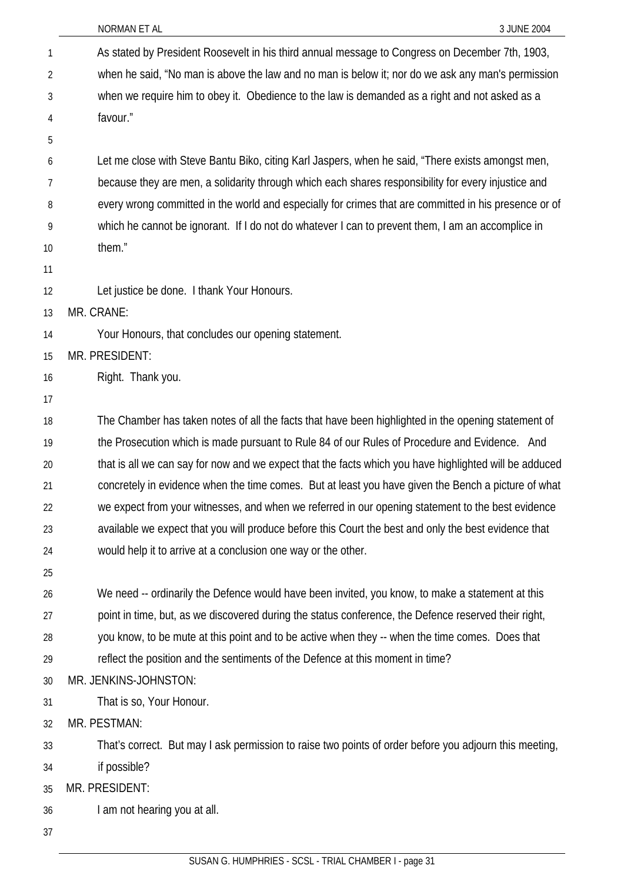| 1              | As stated by President Roosevelt in his third annual message to Congress on December 7th, 1903,        |
|----------------|--------------------------------------------------------------------------------------------------------|
| $\overline{2}$ | when he said, "No man is above the law and no man is below it; nor do we ask any man's permission      |
| 3              | when we require him to obey it. Obedience to the law is demanded as a right and not asked as a         |
| 4              | favour."                                                                                               |
| 5              |                                                                                                        |
| 6              | Let me close with Steve Bantu Biko, citing Karl Jaspers, when he said, "There exists amongst men,      |
| 7              | because they are men, a solidarity through which each shares responsibility for every injustice and    |
| 8              | every wrong committed in the world and especially for crimes that are committed in his presence or of  |
| 9              | which he cannot be ignorant. If I do not do whatever I can to prevent them, I am an accomplice in      |
| 10             | them."                                                                                                 |
| 11             |                                                                                                        |
| 12             | Let justice be done. I thank Your Honours.                                                             |
| 13             | MR. CRANE:                                                                                             |
| 14             | Your Honours, that concludes our opening statement.                                                    |
| 15             | MR. PRESIDENT:                                                                                         |
| 16             | Right. Thank you.                                                                                      |
| 17             |                                                                                                        |
| 18             | The Chamber has taken notes of all the facts that have been highlighted in the opening statement of    |
| 19             | the Prosecution which is made pursuant to Rule 84 of our Rules of Procedure and Evidence. And          |
| 20             | that is all we can say for now and we expect that the facts which you have highlighted will be adduced |
| 21             | concretely in evidence when the time comes. But at least you have given the Bench a picture of what    |
| 22             | we expect from your witnesses, and when we referred in our opening statement to the best evidence      |
| 23             | available we expect that you will produce before this Court the best and only the best evidence that   |
| 24             | would help it to arrive at a conclusion one way or the other.                                          |
| 25             |                                                                                                        |
| 26             | We need -- ordinarily the Defence would have been invited, you know, to make a statement at this       |
| 27             | point in time, but, as we discovered during the status conference, the Defence reserved their right,   |
| 28             | you know, to be mute at this point and to be active when they -- when the time comes. Does that        |
| 29             | reflect the position and the sentiments of the Defence at this moment in time?                         |
| 30             | MR. JENKINS-JOHNSTON:                                                                                  |
| 31             | That is so, Your Honour.                                                                               |
| 32             | MR. PESTMAN:                                                                                           |
| 33             | That's correct. But may I ask permission to raise two points of order before you adjourn this meeting, |
| 34             | if possible?                                                                                           |
| 35             | MR. PRESIDENT:                                                                                         |
| 36             | I am not hearing you at all.                                                                           |
| 37             |                                                                                                        |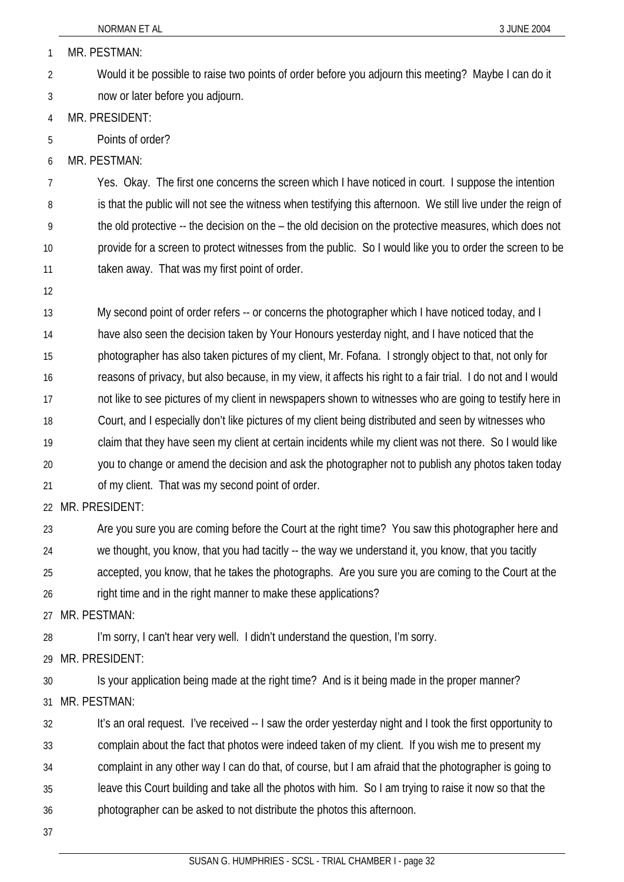1 MR. PESTMAN:

2 3 Would it be possible to raise two points of order before you adjourn this meeting? Maybe I can do it now or later before you adjourn.

4 MR. PRESIDENT:

5 Points of order?

6 MR. PESTMAN:

7 8 9 10 11 Yes. Okay. The first one concerns the screen which I have noticed in court. I suppose the intention is that the public will not see the witness when testifying this afternoon. We still live under the reign of the old protective -- the decision on the – the old decision on the protective measures, which does not provide for a screen to protect witnesses from the public. So I would like you to order the screen to be taken away. That was my first point of order.

12

13 14 15 16 17 18 19 20 21 My second point of order refers -- or concerns the photographer which I have noticed today, and I have also seen the decision taken by Your Honours yesterday night, and I have noticed that the photographer has also taken pictures of my client, Mr. Fofana. I strongly object to that, not only for reasons of privacy, but also because, in my view, it affects his right to a fair trial. I do not and I would not like to see pictures of my client in newspapers shown to witnesses who are going to testify here in Court, and I especially don't like pictures of my client being distributed and seen by witnesses who claim that they have seen my client at certain incidents while my client was not there. So I would like you to change or amend the decision and ask the photographer not to publish any photos taken today of my client. That was my second point of order.

22 MR. PRESIDENT:

23 24 25 Are you sure you are coming before the Court at the right time? You saw this photographer here and we thought, you know, that you had tacitly -- the way we understand it, you know, that you tacitly accepted, you know, that he takes the photographs. Are you sure you are coming to the Court at the

26 right time and in the right manner to make these applications?

27 MR. PESTMAN:

28 I'm sorry, I can't hear very well. I didn't understand the question, I'm sorry.

29 MR. PRESIDENT:

30 Is your application being made at the right time? And is it being made in the proper manner?

31 MR. PESTMAN:

32 33 34 It's an oral request. I've received -- I saw the order yesterday night and I took the first opportunity to complain about the fact that photos were indeed taken of my client. If you wish me to present my complaint in any other way I can do that, of course, but I am afraid that the photographer is going to

35 leave this Court building and take all the photos with him. So I am trying to raise it now so that the

36 photographer can be asked to not distribute the photos this afternoon.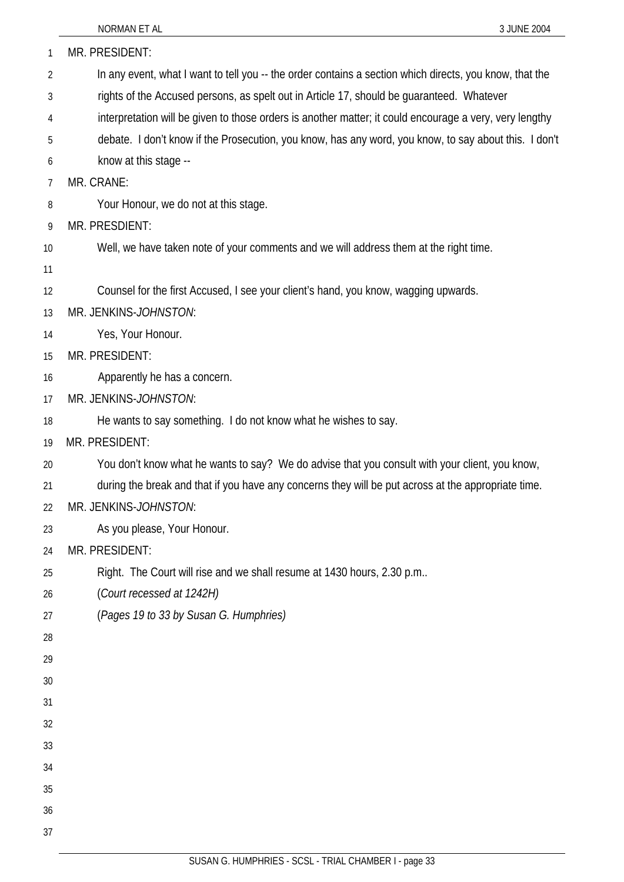| 1  | MR. PRESIDENT:                                                                                          |
|----|---------------------------------------------------------------------------------------------------------|
| 2  | In any event, what I want to tell you -- the order contains a section which directs, you know, that the |
| 3  | rights of the Accused persons, as spelt out in Article 17, should be guaranteed. Whatever               |
| 4  | interpretation will be given to those orders is another matter; it could encourage a very, very lengthy |
| 5  | debate. I don't know if the Prosecution, you know, has any word, you know, to say about this. I don't   |
| 6  | know at this stage --                                                                                   |
| 7  | MR. CRANE:                                                                                              |
| 8  | Your Honour, we do not at this stage.                                                                   |
| 9  | MR. PRESDIENT:                                                                                          |
| 10 | Well, we have taken note of your comments and we will address them at the right time.                   |
| 11 |                                                                                                         |
| 12 | Counsel for the first Accused, I see your client's hand, you know, wagging upwards.                     |
| 13 | MR. JENKINS-JOHNSTON:                                                                                   |
| 14 | Yes, Your Honour.                                                                                       |
| 15 | MR. PRESIDENT:                                                                                          |
| 16 | Apparently he has a concern.                                                                            |
| 17 | MR. JENKINS-JOHNSTON:                                                                                   |
| 18 | He wants to say something. I do not know what he wishes to say.                                         |
| 19 | MR. PRESIDENT:                                                                                          |
| 20 | You don't know what he wants to say? We do advise that you consult with your client, you know,          |
| 21 | during the break and that if you have any concerns they will be put across at the appropriate time.     |
| 22 | MR. JENKINS-JOHNSTON:                                                                                   |
| 23 | As you please, Your Honour.                                                                             |
| 24 | MR. PRESIDENT:                                                                                          |
| 25 | Right. The Court will rise and we shall resume at 1430 hours, 2.30 p.m                                  |
| 26 | (Court recessed at 1242H)                                                                               |
| 27 | (Pages 19 to 33 by Susan G. Humphries)                                                                  |
| 28 |                                                                                                         |
| 29 |                                                                                                         |
| 30 |                                                                                                         |
| 31 |                                                                                                         |
| 32 |                                                                                                         |
| 33 |                                                                                                         |
| 34 |                                                                                                         |
| 35 |                                                                                                         |
| 36 |                                                                                                         |
| 37 |                                                                                                         |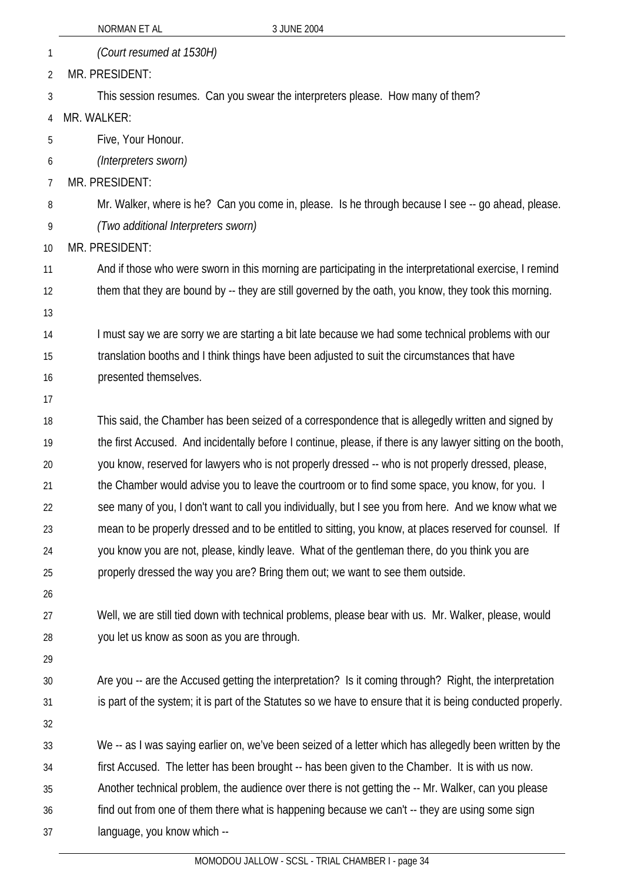| (Court resumed at 1530H)<br>1<br>MR. PRESIDENT:<br>$\overline{2}$<br>This session resumes. Can you swear the interpreters please. How many of them?<br>3<br>MR. WALKER:<br>4<br>Five, Your Honour.<br>5<br>(Interpreters sworn)<br>6<br>MR. PRESIDENT:<br>7<br>Mr. Walker, where is he? Can you come in, please. Is he through because I see -- go ahead, please.<br>8<br>(Two additional Interpreters sworn)<br>9 |  |
|--------------------------------------------------------------------------------------------------------------------------------------------------------------------------------------------------------------------------------------------------------------------------------------------------------------------------------------------------------------------------------------------------------------------|--|
|                                                                                                                                                                                                                                                                                                                                                                                                                    |  |
|                                                                                                                                                                                                                                                                                                                                                                                                                    |  |
|                                                                                                                                                                                                                                                                                                                                                                                                                    |  |
|                                                                                                                                                                                                                                                                                                                                                                                                                    |  |
|                                                                                                                                                                                                                                                                                                                                                                                                                    |  |
|                                                                                                                                                                                                                                                                                                                                                                                                                    |  |
|                                                                                                                                                                                                                                                                                                                                                                                                                    |  |
|                                                                                                                                                                                                                                                                                                                                                                                                                    |  |
|                                                                                                                                                                                                                                                                                                                                                                                                                    |  |
| MR. PRESIDENT:<br>10                                                                                                                                                                                                                                                                                                                                                                                               |  |
| And if those who were sworn in this morning are participating in the interpretational exercise, I remind<br>11                                                                                                                                                                                                                                                                                                     |  |
| them that they are bound by -- they are still governed by the oath, you know, they took this morning.<br>12                                                                                                                                                                                                                                                                                                        |  |
| 13                                                                                                                                                                                                                                                                                                                                                                                                                 |  |
| I must say we are sorry we are starting a bit late because we had some technical problems with our<br>14                                                                                                                                                                                                                                                                                                           |  |
| translation booths and I think things have been adjusted to suit the circumstances that have<br>15                                                                                                                                                                                                                                                                                                                 |  |
| presented themselves.<br>16                                                                                                                                                                                                                                                                                                                                                                                        |  |
| 17                                                                                                                                                                                                                                                                                                                                                                                                                 |  |
| This said, the Chamber has been seized of a correspondence that is allegedly written and signed by<br>18                                                                                                                                                                                                                                                                                                           |  |
| the first Accused. And incidentally before I continue, please, if there is any lawyer sitting on the booth,<br>19                                                                                                                                                                                                                                                                                                  |  |
| you know, reserved for lawyers who is not properly dressed -- who is not properly dressed, please,<br>20                                                                                                                                                                                                                                                                                                           |  |
| the Chamber would advise you to leave the courtroom or to find some space, you know, for you. I<br>21                                                                                                                                                                                                                                                                                                              |  |
| see many of you, I don't want to call you individually, but I see you from here. And we know what we<br>22                                                                                                                                                                                                                                                                                                         |  |
| mean to be properly dressed and to be entitled to sitting, you know, at places reserved for counsel. If<br>23                                                                                                                                                                                                                                                                                                      |  |
| you know you are not, please, kindly leave. What of the gentleman there, do you think you are<br>24                                                                                                                                                                                                                                                                                                                |  |
| properly dressed the way you are? Bring them out; we want to see them outside.<br>25                                                                                                                                                                                                                                                                                                                               |  |
| 26                                                                                                                                                                                                                                                                                                                                                                                                                 |  |
| Well, we are still tied down with technical problems, please bear with us. Mr. Walker, please, would<br>27                                                                                                                                                                                                                                                                                                         |  |
| you let us know as soon as you are through.<br>28                                                                                                                                                                                                                                                                                                                                                                  |  |
| 29                                                                                                                                                                                                                                                                                                                                                                                                                 |  |
| Are you -- are the Accused getting the interpretation? Is it coming through? Right, the interpretation<br>30                                                                                                                                                                                                                                                                                                       |  |
| is part of the system; it is part of the Statutes so we have to ensure that it is being conducted properly.<br>31                                                                                                                                                                                                                                                                                                  |  |
| 32                                                                                                                                                                                                                                                                                                                                                                                                                 |  |
| We -- as I was saying earlier on, we've been seized of a letter which has allegedly been written by the<br>33                                                                                                                                                                                                                                                                                                      |  |
| first Accused. The letter has been brought -- has been given to the Chamber. It is with us now.<br>34                                                                                                                                                                                                                                                                                                              |  |
| Another technical problem, the audience over there is not getting the -- Mr. Walker, can you please<br>35                                                                                                                                                                                                                                                                                                          |  |
| find out from one of them there what is happening because we can't -- they are using some sign<br>36                                                                                                                                                                                                                                                                                                               |  |
| language, you know which --<br>37                                                                                                                                                                                                                                                                                                                                                                                  |  |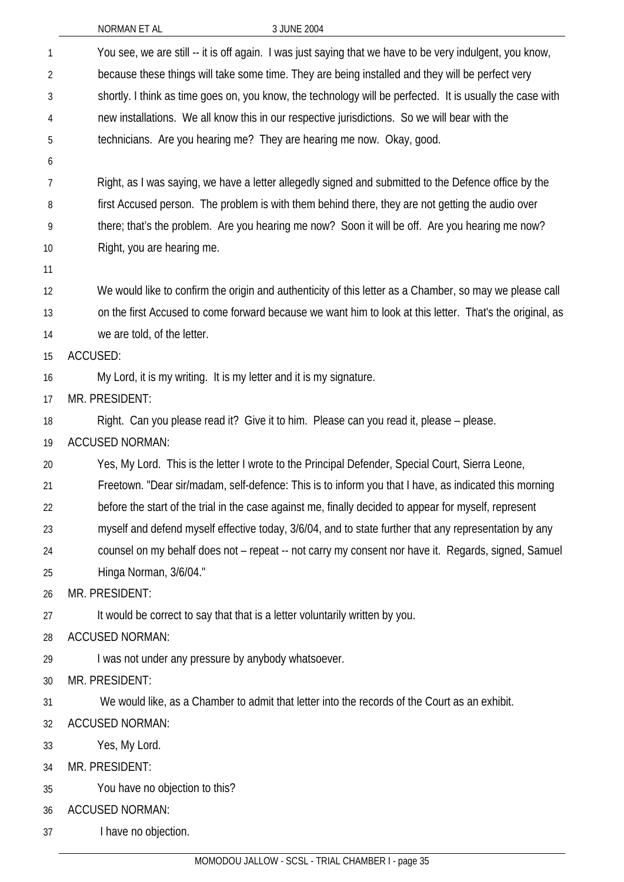|                | NORMAN ET AL<br>3 JUNE 2004                                                                               |
|----------------|-----------------------------------------------------------------------------------------------------------|
| 1              | You see, we are still -- it is off again. I was just saying that we have to be very indulgent, you know,  |
| $\overline{2}$ | because these things will take some time. They are being installed and they will be perfect very          |
| 3              | shortly. I think as time goes on, you know, the technology will be perfected. It is usually the case with |
| 4              | new installations. We all know this in our respective jurisdictions. So we will bear with the             |
| 5              | technicians. Are you hearing me? They are hearing me now. Okay, good.                                     |
| 6              |                                                                                                           |
| 7              | Right, as I was saying, we have a letter allegedly signed and submitted to the Defence office by the      |
| 8              | first Accused person. The problem is with them behind there, they are not getting the audio over          |
| 9              | there; that's the problem. Are you hearing me now? Soon it will be off. Are you hearing me now?           |
| 10             | Right, you are hearing me.                                                                                |
| 11             |                                                                                                           |
| 12             | We would like to confirm the origin and authenticity of this letter as a Chamber, so may we please call   |
| 13             | on the first Accused to come forward because we want him to look at this letter. That's the original, as  |
| 14             | we are told, of the letter.                                                                               |
| 15             | ACCUSED:                                                                                                  |
| 16             | My Lord, it is my writing. It is my letter and it is my signature.                                        |
| 17             | MR. PRESIDENT:                                                                                            |
| 18             | Right. Can you please read it? Give it to him. Please can you read it, please – please.                   |
| 19             | <b>ACCUSED NORMAN:</b>                                                                                    |
| 20             | Yes, My Lord. This is the letter I wrote to the Principal Defender, Special Court, Sierra Leone,          |
| 21             | Freetown. "Dear sir/madam, self-defence: This is to inform you that I have, as indicated this morning     |
| 22             | before the start of the trial in the case against me, finally decided to appear for myself, represent     |
| 23             | myself and defend myself effective today, 3/6/04, and to state further that any representation by any     |
| 24             | counsel on my behalf does not - repeat -- not carry my consent nor have it. Regards, signed, Samuel       |
| 25             | Hinga Norman, 3/6/04."                                                                                    |
| 26             | MR. PRESIDENT:                                                                                            |
| 27             | It would be correct to say that that is a letter voluntarily written by you.                              |
| 28             | <b>ACCUSED NORMAN:</b>                                                                                    |
| 29             | I was not under any pressure by anybody whatsoever.                                                       |
| 30             | MR. PRESIDENT:                                                                                            |
| 31             | We would like, as a Chamber to admit that letter into the records of the Court as an exhibit.             |
| 32             | <b>ACCUSED NORMAN:</b>                                                                                    |
| 33             | Yes, My Lord.                                                                                             |
| 34             | MR. PRESIDENT:                                                                                            |
| 35             | You have no objection to this?                                                                            |
| 36             | <b>ACCUSED NORMAN:</b>                                                                                    |
| 37             | I have no objection.                                                                                      |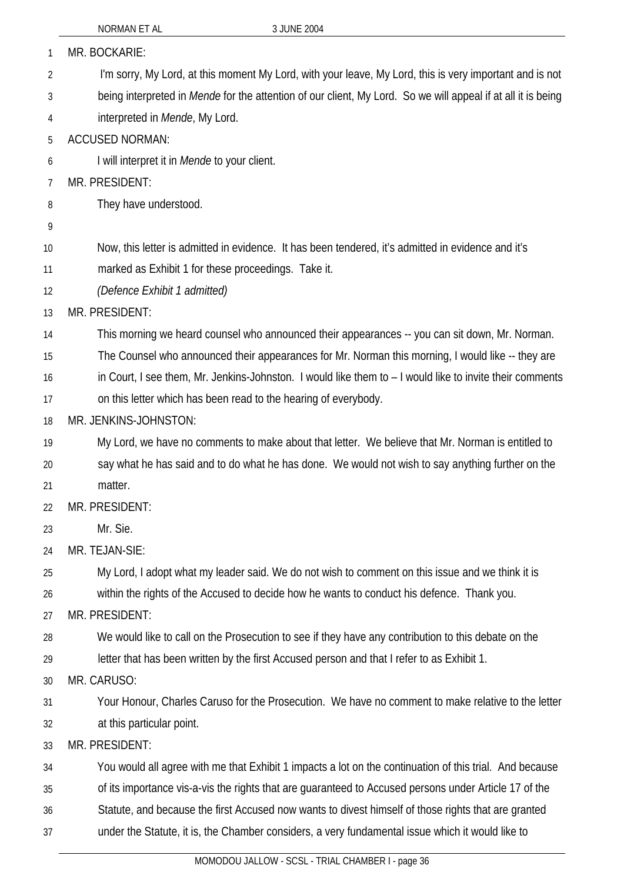|                | NORMAN ET AL<br>3 JUNE 2004                                                                                  |
|----------------|--------------------------------------------------------------------------------------------------------------|
| $\mathbf{1}$   | MR. BOCKARIE:                                                                                                |
| 2              | I'm sorry, My Lord, at this moment My Lord, with your leave, My Lord, this is very important and is not      |
| 3              | being interpreted in Mende for the attention of our client, My Lord. So we will appeal if at all it is being |
| 4              | interpreted in <i>Mende</i> , My Lord.                                                                       |
| 5              | <b>ACCUSED NORMAN:</b>                                                                                       |
| 6              | I will interpret it in <i>Mende</i> to your client.                                                          |
| $\overline{7}$ | MR. PRESIDENT:                                                                                               |
| 8              | They have understood.                                                                                        |
| 9              |                                                                                                              |
| 10             | Now, this letter is admitted in evidence. It has been tendered, it's admitted in evidence and it's           |
| 11             | marked as Exhibit 1 for these proceedings. Take it.                                                          |
| 12             | (Defence Exhibit 1 admitted)                                                                                 |
| 13             | MR. PRESIDENT:                                                                                               |
| 14             | This morning we heard counsel who announced their appearances -- you can sit down, Mr. Norman.               |
| 15             | The Counsel who announced their appearances for Mr. Norman this morning, I would like -- they are            |
| 16             | in Court, I see them, Mr. Jenkins-Johnston. I would like them to – I would like to invite their comments     |
| 17             | on this letter which has been read to the hearing of everybody.                                              |
| 18             | MR. JENKINS-JOHNSTON:                                                                                        |
| 19             | My Lord, we have no comments to make about that letter. We believe that Mr. Norman is entitled to            |
| 20             | say what he has said and to do what he has done. We would not wish to say anything further on the            |
| 21             | matter.                                                                                                      |
| 22             | MR. PRESIDENT:                                                                                               |
| 23             | Mr. Sie.                                                                                                     |
| 24             | MR. TEJAN-SIE:                                                                                               |
| 25             | My Lord, I adopt what my leader said. We do not wish to comment on this issue and we think it is             |
| 26             | within the rights of the Accused to decide how he wants to conduct his defence. Thank you.                   |
| 27             | MR. PRESIDENT:                                                                                               |
| 28             | We would like to call on the Prosecution to see if they have any contribution to this debate on the          |
| 29             | letter that has been written by the first Accused person and that I refer to as Exhibit 1.                   |
| 30             | MR. CARUSO:                                                                                                  |
| 31             | Your Honour, Charles Caruso for the Prosecution. We have no comment to make relative to the letter           |
| 32             | at this particular point.                                                                                    |
| 33             | MR. PRESIDENT:                                                                                               |
| 34             | You would all agree with me that Exhibit 1 impacts a lot on the continuation of this trial. And because      |
| 35             | of its importance vis-a-vis the rights that are guaranteed to Accused persons under Article 17 of the        |
| 36             | Statute, and because the first Accused now wants to divest himself of those rights that are granted          |
| 37             | under the Statute, it is, the Chamber considers, a very fundamental issue which it would like to             |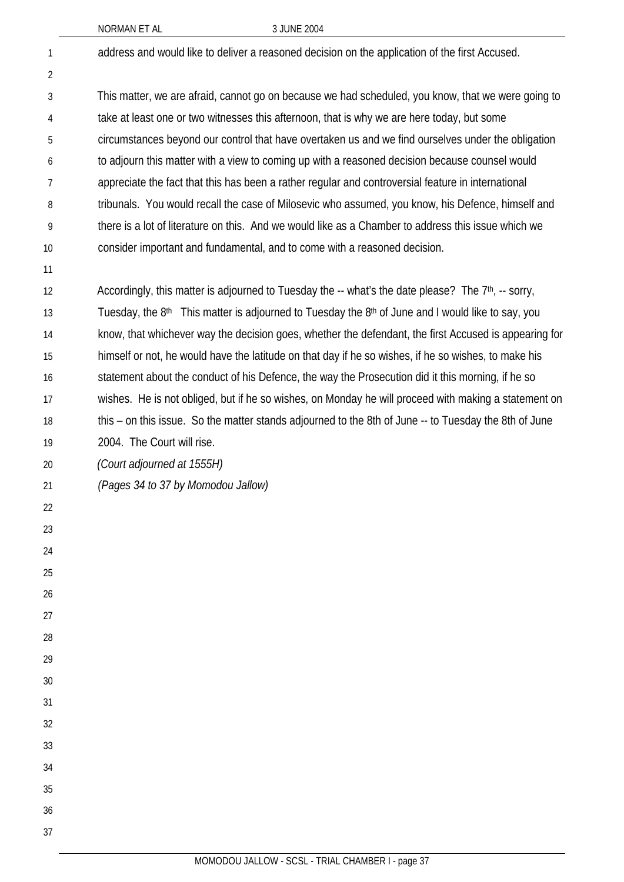| 1              | address and would like to deliver a reasoned decision on the application of the first Accused.                            |
|----------------|---------------------------------------------------------------------------------------------------------------------------|
| $\overline{2}$ |                                                                                                                           |
| 3              | This matter, we are afraid, cannot go on because we had scheduled, you know, that we were going to                        |
| 4              | take at least one or two witnesses this afternoon, that is why we are here today, but some                                |
| 5              | circumstances beyond our control that have overtaken us and we find ourselves under the obligation                        |
| 6              | to adjourn this matter with a view to coming up with a reasoned decision because counsel would                            |
| 7              | appreciate the fact that this has been a rather regular and controversial feature in international                        |
| 8              | tribunals. You would recall the case of Milosevic who assumed, you know, his Defence, himself and                         |
| 9              | there is a lot of literature on this. And we would like as a Chamber to address this issue which we                       |
| 10             | consider important and fundamental, and to come with a reasoned decision.                                                 |
| 11             |                                                                                                                           |
| 12             | Accordingly, this matter is adjourned to Tuesday the -- what's the date please? The 7 <sup>th</sup> , -- sorry,           |
| 13             | Tuesday, the 8 <sup>th</sup> This matter is adjourned to Tuesday the 8 <sup>th</sup> of June and I would like to say, you |
| 14             | know, that whichever way the decision goes, whether the defendant, the first Accused is appearing for                     |
| 15             | himself or not, he would have the latitude on that day if he so wishes, if he so wishes, to make his                      |
| 16             | statement about the conduct of his Defence, the way the Prosecution did it this morning, if he so                         |
| 17             | wishes. He is not obliged, but if he so wishes, on Monday he will proceed with making a statement on                      |
| 18             | this – on this issue. So the matter stands adjourned to the 8th of June -- to Tuesday the 8th of June                     |
| 19             | 2004. The Court will rise.                                                                                                |
| 20             | (Court adjourned at 1555H)                                                                                                |
| 21             | (Pages 34 to 37 by Momodou Jallow)                                                                                        |
| 22             |                                                                                                                           |
| 23             |                                                                                                                           |
| 24             |                                                                                                                           |
| 25             |                                                                                                                           |
| 26             |                                                                                                                           |
| 27             |                                                                                                                           |
| 28             |                                                                                                                           |
| 29             |                                                                                                                           |
| 30             |                                                                                                                           |
| 31             |                                                                                                                           |
| 32             |                                                                                                                           |
| 33             |                                                                                                                           |
| 34             |                                                                                                                           |
| 35             |                                                                                                                           |
| 36             |                                                                                                                           |
| 37             |                                                                                                                           |